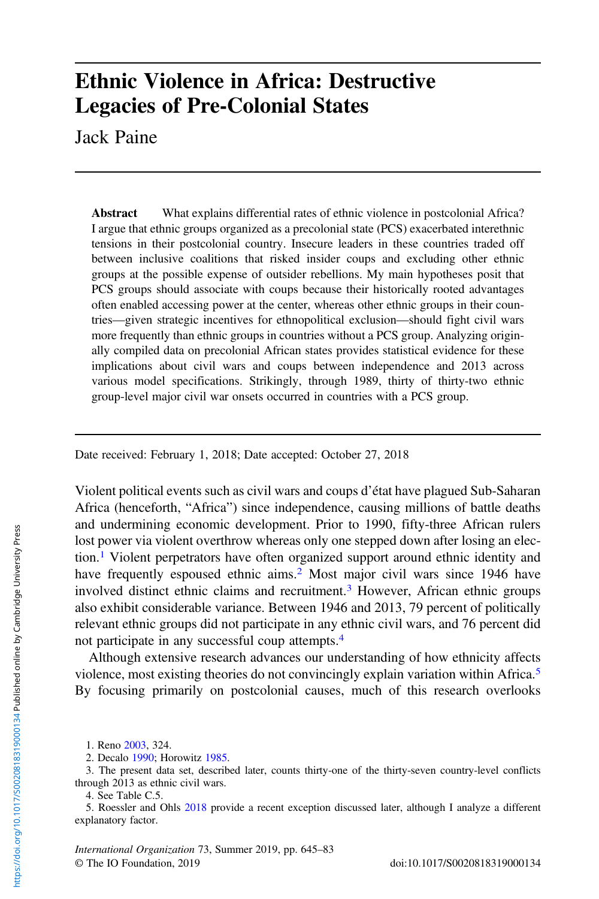# Ethnic Violence in Africa: Destructive Legacies of Pre-Colonial States

Jack Paine

Abstract What explains differential rates of ethnic violence in postcolonial Africa? I argue that ethnic groups organized as a precolonial state (PCS) exacerbated interethnic tensions in their postcolonial country. Insecure leaders in these countries traded off between inclusive coalitions that risked insider coups and excluding other ethnic groups at the possible expense of outsider rebellions. My main hypotheses posit that PCS groups should associate with coups because their historically rooted advantages often enabled accessing power at the center, whereas other ethnic groups in their countries—given strategic incentives for ethnopolitical exclusion—should fight civil wars more frequently than ethnic groups in countries without a PCS group. Analyzing originally compiled data on precolonial African states provides statistical evidence for these implications about civil wars and coups between independence and 2013 across various model specifications. Strikingly, through 1989, thirty of thirty-two ethnic group-level major civil war onsets occurred in countries with a PCS group.

Date received: February 1, 2018; Date accepted: October 27, 2018

Violent political events such as civil wars and coups d'état have plagued Sub-Saharan Africa (henceforth, "Africa") since independence, causing millions of battle deaths and undermining economic development. Prior to 1990, fifty-three African rulers lost power via violent overthrow whereas only one stepped down after losing an election.<sup>1</sup> Violent perpetrators have often organized support around ethnic identity and have frequently espoused ethnic aims.<sup>2</sup> Most major civil wars since 1946 have involved distinct ethnic claims and recruitment.<sup>3</sup> However, African ethnic groups also exhibit considerable variance. Between 1946 and 2013, 79 percent of politically relevant ethnic groups did not participate in any ethnic civil wars, and 76 percent did not participate in any successful coup attempts.<sup>4</sup>

Although extensive research advances our understanding of how ethnicity affects violence, most existing theories do not convincingly explain variation within Africa.<sup>5</sup> By focusing primarily on postcolonial causes, much of this research overlooks

International Organization 73, Summer 2019, pp. 645–83 © The IO Foundation, 2019 doi:10.1017/S0020818319000134

<sup>1.</sup> Reno [2003,](#page-37-0) 324.

<sup>2.</sup> Decalo [1990](#page-35-0); Horowitz [1985.](#page-36-0)

<sup>3.</sup> The present data set, described later, counts thirty-one of the thirty-seven country-level conflicts through 2013 as ethnic civil wars.

<sup>4.</sup> See Table C.5.

<sup>5.</sup> Roessler and Ohls [2018](#page-37-0) provide a recent exception discussed later, although I analyze a different explanatory factor.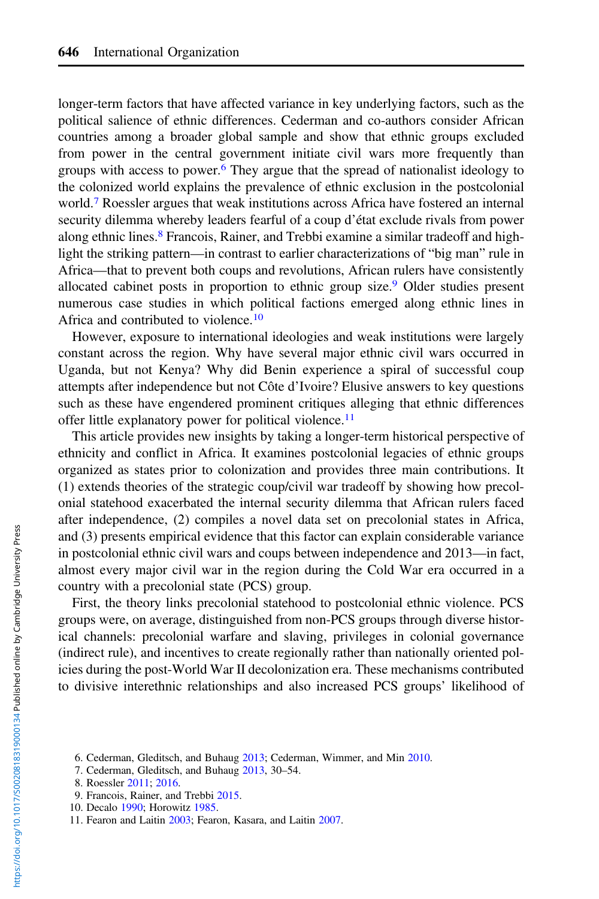longer-term factors that have affected variance in key underlying factors, such as the political salience of ethnic differences. Cederman and co-authors consider African countries among a broader global sample and show that ethnic groups excluded from power in the central government initiate civil wars more frequently than groups with access to power.6 They argue that the spread of nationalist ideology to the colonized world explains the prevalence of ethnic exclusion in the postcolonial world.<sup>7</sup> Roessler argues that weak institutions across Africa have fostered an internal security dilemma whereby leaders fearful of a coup d'état exclude rivals from power along ethnic lines.<sup>8</sup> Francois, Rainer, and Trebbi examine a similar tradeoff and highlight the striking pattern—in contrast to earlier characterizations of "big man" rule in Africa—that to prevent both coups and revolutions, African rulers have consistently allocated cabinet posts in proportion to ethnic group size.<sup>9</sup> Older studies present numerous case studies in which political factions emerged along ethnic lines in Africa and contributed to violence.<sup>10</sup>

However, exposure to international ideologies and weak institutions were largely constant across the region. Why have several major ethnic civil wars occurred in Uganda, but not Kenya? Why did Benin experience a spiral of successful coup attempts after independence but not Côte d'Ivoire? Elusive answers to key questions such as these have engendered prominent critiques alleging that ethnic differences offer little explanatory power for political violence.<sup>11</sup>

This article provides new insights by taking a longer-term historical perspective of ethnicity and conflict in Africa. It examines postcolonial legacies of ethnic groups organized as states prior to colonization and provides three main contributions. It (1) extends theories of the strategic coup/civil war tradeoff by showing how precolonial statehood exacerbated the internal security dilemma that African rulers faced after independence, (2) compiles a novel data set on precolonial states in Africa, and (3) presents empirical evidence that this factor can explain considerable variance in postcolonial ethnic civil wars and coups between independence and 2013—in fact, almost every major civil war in the region during the Cold War era occurred in a country with a precolonial state (PCS) group.

First, the theory links precolonial statehood to postcolonial ethnic violence. PCS groups were, on average, distinguished from non-PCS groups through diverse historical channels: precolonial warfare and slaving, privileges in colonial governance (indirect rule), and incentives to create regionally rather than nationally oriented policies during the post-World War II decolonization era. These mechanisms contributed to divisive interethnic relationships and also increased PCS groups' likelihood of

<sup>6.</sup> Cederman, Gleditsch, and Buhaug [2013;](#page-35-0) Cederman, Wimmer, and Min [2010](#page-35-0).

<sup>7.</sup> Cederman, Gleditsch, and Buhaug [2013,](#page-35-0) 30–54.

<sup>8.</sup> Roessler [2011;](#page-37-0) [2016](#page-37-0).

<sup>9.</sup> Francois, Rainer, and Trebbi [2015.](#page-36-0)

<sup>10.</sup> Decalo [1990](#page-35-0); Horowitz [1985.](#page-36-0)

<sup>11.</sup> Fearon and Laitin [2003;](#page-36-0) Fearon, Kasara, and Laitin [2007.](#page-36-0)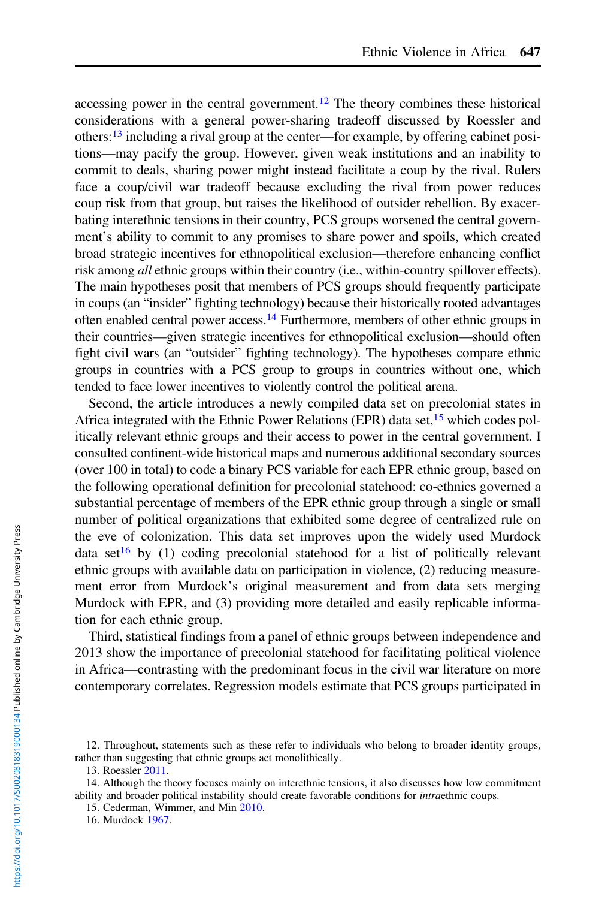accessing power in the central government.<sup>12</sup> The theory combines these historical considerations with a general power-sharing tradeoff discussed by Roessler and others:<sup>13</sup> including a rival group at the center—for example, by offering cabinet positions—may pacify the group. However, given weak institutions and an inability to commit to deals, sharing power might instead facilitate a coup by the rival. Rulers face a coup/civil war tradeoff because excluding the rival from power reduces coup risk from that group, but raises the likelihood of outsider rebellion. By exacerbating interethnic tensions in their country, PCS groups worsened the central government's ability to commit to any promises to share power and spoils, which created broad strategic incentives for ethnopolitical exclusion—therefore enhancing conflict risk among all ethnic groups within their country (i.e., within-country spillover effects). The main hypotheses posit that members of PCS groups should frequently participate in coups (an "insider" fighting technology) because their historically rooted advantages often enabled central power access.14 Furthermore, members of other ethnic groups in their countries—given strategic incentives for ethnopolitical exclusion—should often fight civil wars (an "outsider" fighting technology). The hypotheses compare ethnic groups in countries with a PCS group to groups in countries without one, which tended to face lower incentives to violently control the political arena.

Second, the article introduces a newly compiled data set on precolonial states in Africa integrated with the Ethnic Power Relations (EPR) data set,<sup>15</sup> which codes politically relevant ethnic groups and their access to power in the central government. I consulted continent-wide historical maps and numerous additional secondary sources (over 100 in total) to code a binary PCS variable for each EPR ethnic group, based on the following operational definition for precolonial statehood: co-ethnics governed a substantial percentage of members of the EPR ethnic group through a single or small number of political organizations that exhibited some degree of centralized rule on the eve of colonization. This data set improves upon the widely used Murdock data set<sup>16</sup> by (1) coding precolonial statehood for a list of politically relevant ethnic groups with available data on participation in violence, (2) reducing measurement error from Murdock's original measurement and from data sets merging Murdock with EPR, and (3) providing more detailed and easily replicable information for each ethnic group.

Third, statistical findings from a panel of ethnic groups between independence and 2013 show the importance of precolonial statehood for facilitating political violence in Africa—contrasting with the predominant focus in the civil war literature on more contemporary correlates. Regression models estimate that PCS groups participated in

<sup>12.</sup> Throughout, statements such as these refer to individuals who belong to broader identity groups, rather than suggesting that ethnic groups act monolithically.

<sup>13.</sup> Roessler [2011.](#page-37-0)

<sup>14.</sup> Although the theory focuses mainly on interethnic tensions, it also discusses how low commitment ability and broader political instability should create favorable conditions for *intraethnic* coups.

<sup>15.</sup> Cederman, Wimmer, and Min [2010](#page-35-0).

<sup>16.</sup> Murdock [1967.](#page-36-0)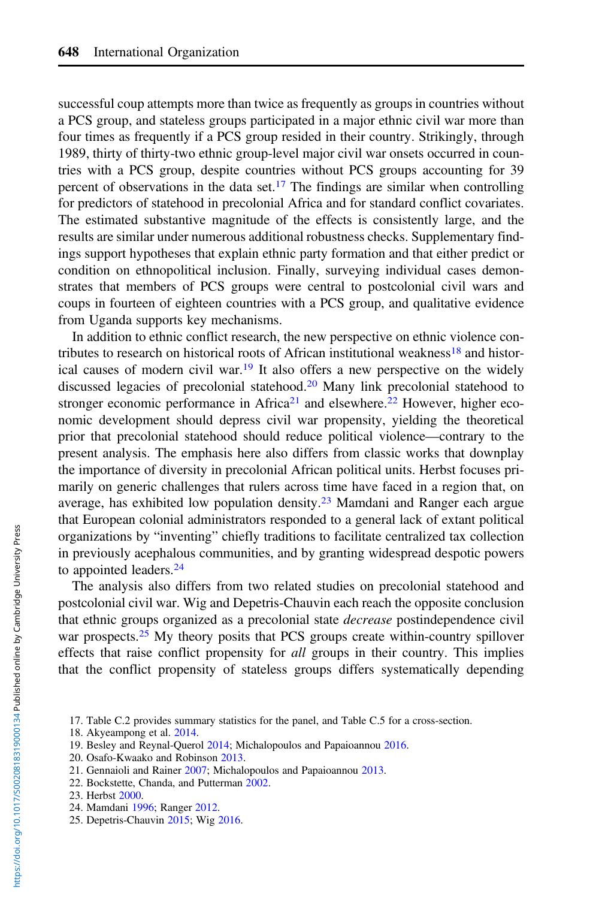successful coup attempts more than twice as frequently as groups in countries without a PCS group, and stateless groups participated in a major ethnic civil war more than four times as frequently if a PCS group resided in their country. Strikingly, through 1989, thirty of thirty-two ethnic group-level major civil war onsets occurred in countries with a PCS group, despite countries without PCS groups accounting for 39 percent of observations in the data set.<sup>17</sup> The findings are similar when controlling for predictors of statehood in precolonial Africa and for standard conflict covariates. The estimated substantive magnitude of the effects is consistently large, and the results are similar under numerous additional robustness checks. Supplementary findings support hypotheses that explain ethnic party formation and that either predict or condition on ethnopolitical inclusion. Finally, surveying individual cases demonstrates that members of PCS groups were central to postcolonial civil wars and coups in fourteen of eighteen countries with a PCS group, and qualitative evidence from Uganda supports key mechanisms.

In addition to ethnic conflict research, the new perspective on ethnic violence contributes to research on historical roots of African institutional weakness<sup>18</sup> and historical causes of modern civil war.<sup>19</sup> It also offers a new perspective on the widely discussed legacies of precolonial statehood.20 Many link precolonial statehood to stronger economic performance in Africa<sup>21</sup> and elsewhere.<sup>22</sup> However, higher economic development should depress civil war propensity, yielding the theoretical prior that precolonial statehood should reduce political violence—contrary to the present analysis. The emphasis here also differs from classic works that downplay the importance of diversity in precolonial African political units. Herbst focuses primarily on generic challenges that rulers across time have faced in a region that, on average, has exhibited low population density.<sup>23</sup> Mamdani and Ranger each argue that European colonial administrators responded to a general lack of extant political organizations by "inventing" chiefly traditions to facilitate centralized tax collection in previously acephalous communities, and by granting widespread despotic powers to appointed leaders. $24$ 

The analysis also differs from two related studies on precolonial statehood and postcolonial civil war. Wig and Depetris-Chauvin each reach the opposite conclusion that ethnic groups organized as a precolonial state decrease postindependence civil war prospects.<sup>25</sup> My theory posits that PCS groups create within-country spillover effects that raise conflict propensity for all groups in their country. This implies that the conflict propensity of stateless groups differs systematically depending

- 20. Osafo-Kwaako and Robinson [2013](#page-37-0).
- 21. Gennaioli and Rainer [2007](#page-36-0); Michalopoulos and Papaioannou [2013.](#page-36-0)
- 22. Bockstette, Chanda, and Putterman [2002](#page-35-0).

- 24. Mamdani [1996](#page-36-0); Ranger [2012.](#page-37-0)
- 25. Depetris-Chauvin [2015;](#page-35-0) Wig [2016](#page-37-0).

<sup>17.</sup> Table C.2 provides summary statistics for the panel, and Table C.5 for a cross-section.

<sup>18.</sup> Akyeampong et al. [2014.](#page-35-0)

<sup>19.</sup> Besley and Reynal-Querol [2014](#page-35-0); Michalopoulos and Papaioannou [2016](#page-36-0).

<sup>23.</sup> Herbst [2000.](#page-36-0)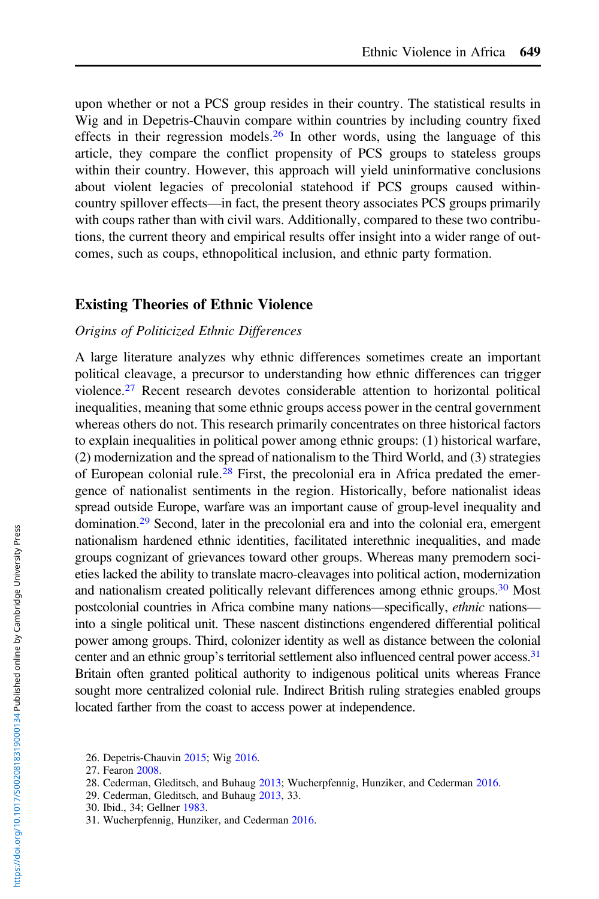upon whether or not a PCS group resides in their country. The statistical results in Wig and in Depetris-Chauvin compare within countries by including country fixed effects in their regression models.<sup>26</sup> In other words, using the language of this article, they compare the conflict propensity of PCS groups to stateless groups within their country. However, this approach will yield uninformative conclusions about violent legacies of precolonial statehood if PCS groups caused withincountry spillover effects—in fact, the present theory associates PCS groups primarily with coups rather than with civil wars. Additionally, compared to these two contributions, the current theory and empirical results offer insight into a wider range of outcomes, such as coups, ethnopolitical inclusion, and ethnic party formation.

#### Existing Theories of Ethnic Violence

#### Origins of Politicized Ethnic Differences

A large literature analyzes why ethnic differences sometimes create an important political cleavage, a precursor to understanding how ethnic differences can trigger violence.<sup>27</sup> Recent research devotes considerable attention to horizontal political inequalities, meaning that some ethnic groups access power in the central government whereas others do not. This research primarily concentrates on three historical factors to explain inequalities in political power among ethnic groups: (1) historical warfare, (2) modernization and the spread of nationalism to the Third World, and (3) strategies of European colonial rule.<sup>28</sup> First, the precolonial era in Africa predated the emergence of nationalist sentiments in the region. Historically, before nationalist ideas spread outside Europe, warfare was an important cause of group-level inequality and domination.29 Second, later in the precolonial era and into the colonial era, emergent nationalism hardened ethnic identities, facilitated interethnic inequalities, and made groups cognizant of grievances toward other groups. Whereas many premodern societies lacked the ability to translate macro-cleavages into political action, modernization and nationalism created politically relevant differences among ethnic groups.<sup>30</sup> Most postcolonial countries in Africa combine many nations—specifically, ethnic nations into a single political unit. These nascent distinctions engendered differential political power among groups. Third, colonizer identity as well as distance between the colonial center and an ethnic group's territorial settlement also influenced central power access.31 Britain often granted political authority to indigenous political units whereas France sought more centralized colonial rule. Indirect British ruling strategies enabled groups located farther from the coast to access power at independence.

30. Ibid., 34; Gellner [1983.](#page-36-0)

<sup>26.</sup> Depetris-Chauvin [2015;](#page-35-0) Wig [2016](#page-37-0).

<sup>27.</sup> Fearon [2008.](#page-36-0)

<sup>28.</sup> Cederman, Gleditsch, and Buhaug [2013;](#page-35-0) Wucherpfennig, Hunziker, and Cederman [2016](#page-37-0).

<sup>29.</sup> Cederman, Gleditsch, and Buhaug [2013,](#page-35-0) 33.

<sup>31.</sup> Wucherpfennig, Hunziker, and Cederman [2016](#page-37-0).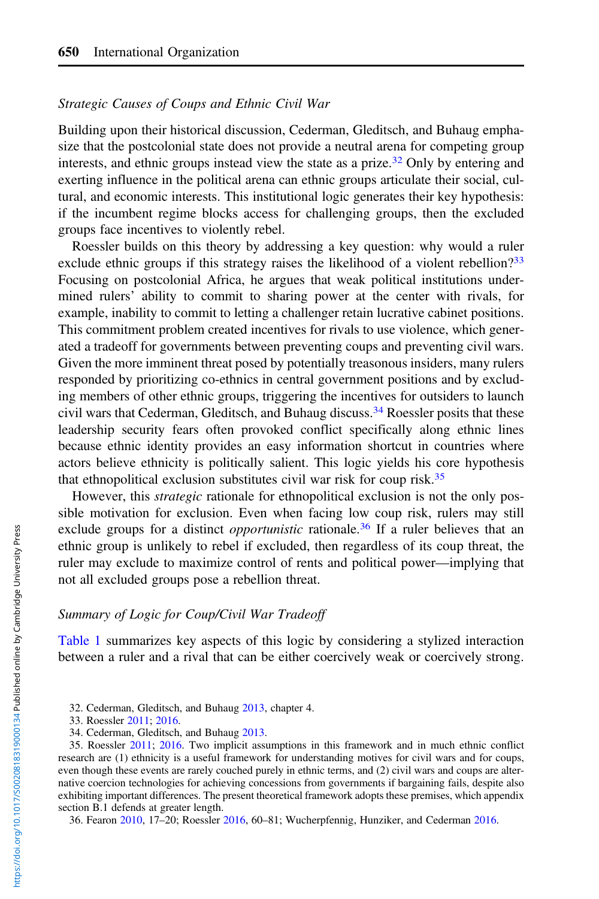## Strategic Causes of Coups and Ethnic Civil War

Building upon their historical discussion, Cederman, Gleditsch, and Buhaug emphasize that the postcolonial state does not provide a neutral arena for competing group interests, and ethnic groups instead view the state as a prize.<sup>32</sup> Only by entering and exerting influence in the political arena can ethnic groups articulate their social, cultural, and economic interests. This institutional logic generates their key hypothesis: if the incumbent regime blocks access for challenging groups, then the excluded groups face incentives to violently rebel.

Roessler builds on this theory by addressing a key question: why would a ruler exclude ethnic groups if this strategy raises the likelihood of a violent rebellion? $33$ Focusing on postcolonial Africa, he argues that weak political institutions undermined rulers' ability to commit to sharing power at the center with rivals, for example, inability to commit to letting a challenger retain lucrative cabinet positions. This commitment problem created incentives for rivals to use violence, which generated a tradeoff for governments between preventing coups and preventing civil wars. Given the more imminent threat posed by potentially treasonous insiders, many rulers responded by prioritizing co-ethnics in central government positions and by excluding members of other ethnic groups, triggering the incentives for outsiders to launch civil wars that Cederman, Gleditsch, and Buhaug discuss.<sup>34</sup> Roessler posits that these leadership security fears often provoked conflict specifically along ethnic lines because ethnic identity provides an easy information shortcut in countries where actors believe ethnicity is politically salient. This logic yields his core hypothesis that ethnopolitical exclusion substitutes civil war risk for coup risk.<sup>35</sup>

However, this *strategic* rationale for ethnopolitical exclusion is not the only possible motivation for exclusion. Even when facing low coup risk, rulers may still exclude groups for a distinct *opportunistic* rationale.<sup>36</sup> If a ruler believes that an ethnic group is unlikely to rebel if excluded, then regardless of its coup threat, the ruler may exclude to maximize control of rents and political power—implying that not all excluded groups pose a rebellion threat.

## Summary of Logic for Coup/Civil War Tradeoff

[Table 1](#page-6-0) summarizes key aspects of this logic by considering a stylized interaction between a ruler and a rival that can be either coercively weak or coercively strong.

36. Fearon [2010,](#page-36-0) 17–20; Roessler [2016](#page-37-0), 60–81; Wucherpfennig, Hunziker, and Cederman [2016.](#page-37-0)

<sup>32.</sup> Cederman, Gleditsch, and Buhaug [2013,](#page-35-0) chapter 4.

<sup>33.</sup> Roessler [2011;](#page-37-0) [2016](#page-37-0).

<sup>34.</sup> Cederman, Gleditsch, and Buhaug [2013.](#page-35-0)

<sup>35.</sup> Roessler [2011;](#page-37-0) [2016](#page-37-0). Two implicit assumptions in this framework and in much ethnic conflict research are (1) ethnicity is a useful framework for understanding motives for civil wars and for coups, even though these events are rarely couched purely in ethnic terms, and (2) civil wars and coups are alternative coercion technologies for achieving concessions from governments if bargaining fails, despite also exhibiting important differences. The present theoretical framework adopts these premises, which appendix section B.1 defends at greater length.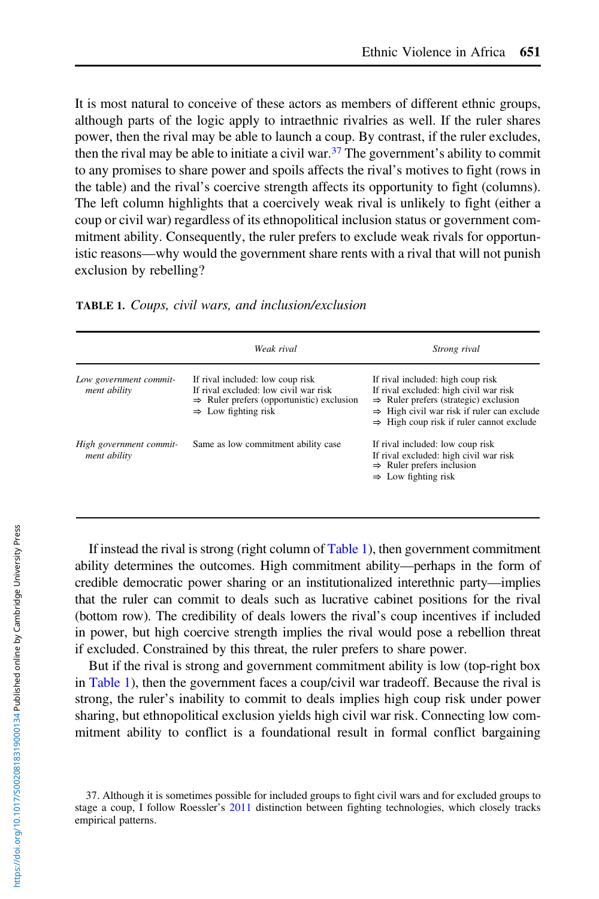<span id="page-6-0"></span>It is most natural to conceive of these actors as members of different ethnic groups, although parts of the logic apply to intraethnic rivalries as well. If the ruler shares power, then the rival may be able to launch a coup. By contrast, if the ruler excludes, then the rival may be able to initiate a civil war.<sup>37</sup> The government's ability to commit to any promises to share power and spoils affects the rival's motives to fight (rows in the table) and the rival's coercive strength affects its opportunity to fight (columns). The left column highlights that a coercively weak rival is unlikely to fight (either a coup or civil war) regardless of its ethnopolitical inclusion status or government commitment ability. Consequently, the ruler prefers to exclude weak rivals for opportunistic reasons—why would the government share rents with a rival that will not punish exclusion by rebelling?

| <b>TABLE 1.</b> Coups, civil wars, and inclusion/exclusion |  |  |  |  |  |  |  |  |
|------------------------------------------------------------|--|--|--|--|--|--|--|--|
|------------------------------------------------------------|--|--|--|--|--|--|--|--|

|                                         | Weak rival                                                                                                                                                            | Strong rival                                                                                                                                                                                                                                       |
|-----------------------------------------|-----------------------------------------------------------------------------------------------------------------------------------------------------------------------|----------------------------------------------------------------------------------------------------------------------------------------------------------------------------------------------------------------------------------------------------|
| Low government commit-<br>ment ability  | If rival included: low coup risk<br>If rival excluded: low civil war risk<br>$\Rightarrow$ Ruler prefers (opportunistic) exclusion<br>$\Rightarrow$ Low fighting risk | If rival included: high coup risk<br>If rival excluded: high civil war risk<br>$\Rightarrow$ Ruler prefers (strategic) exclusion<br>$\Rightarrow$ High civil war risk if ruler can exclude<br>$\Rightarrow$ High coup risk if ruler cannot exclude |
| High government commit-<br>ment ability | Same as low commitment ability case                                                                                                                                   | If rival included: low coup risk<br>If rival excluded: high civil war risk<br>$\Rightarrow$ Ruler prefers inclusion<br>$\Rightarrow$ Low fighting risk                                                                                             |

If instead the rival is strong (right column of Table 1), then government commitment ability determines the outcomes. High commitment ability—perhaps in the form of credible democratic power sharing or an institutionalized interethnic party—implies that the ruler can commit to deals such as lucrative cabinet positions for the rival (bottom row). The credibility of deals lowers the rival's coup incentives if included in power, but high coercive strength implies the rival would pose a rebellion threat if excluded. Constrained by this threat, the ruler prefers to share power.

But if the rival is strong and government commitment ability is low (top-right box in Table 1), then the government faces a coup/civil war tradeoff. Because the rival is strong, the ruler's inability to commit to deals implies high coup risk under power sharing, but ethnopolitical exclusion yields high civil war risk. Connecting low commitment ability to conflict is a foundational result in formal conflict bargaining

<sup>37.</sup> Although it is sometimes possible for included groups to fight civil wars and for excluded groups to stage a coup, I follow Roessler's [2011](#page-37-0) distinction between fighting technologies, which closely tracks empirical patterns.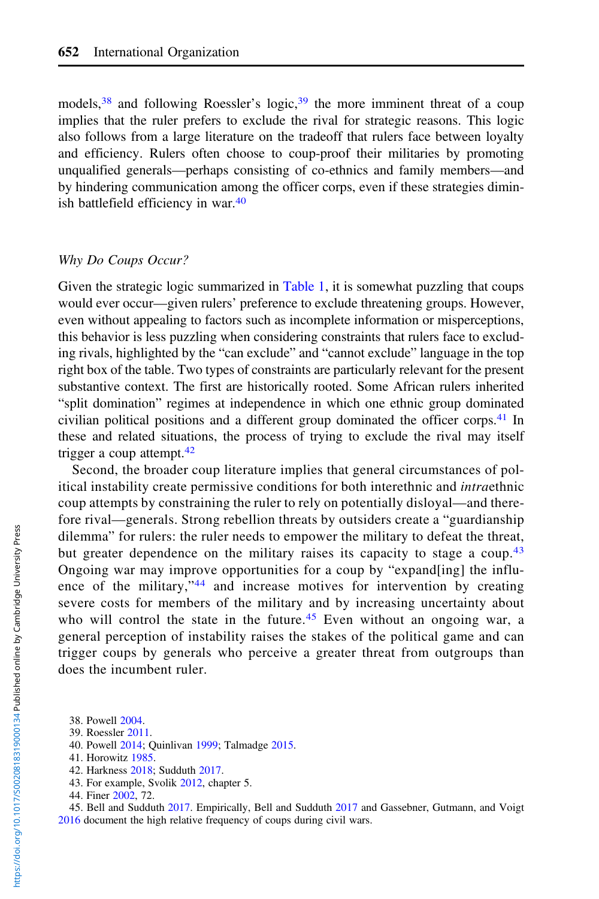models,  $38$  and following Roessler's logic,  $39$  the more imminent threat of a coup implies that the ruler prefers to exclude the rival for strategic reasons. This logic also follows from a large literature on the tradeoff that rulers face between loyalty and efficiency. Rulers often choose to coup-proof their militaries by promoting unqualified generals—perhaps consisting of co-ethnics and family members—and by hindering communication among the officer corps, even if these strategies diminish battlefield efficiency in war.<sup>40</sup>

#### Why Do Coups Occur?

Given the strategic logic summarized in [Table 1](#page-6-0), it is somewhat puzzling that coups would ever occur—given rulers' preference to exclude threatening groups. However, even without appealing to factors such as incomplete information or misperceptions, this behavior is less puzzling when considering constraints that rulers face to excluding rivals, highlighted by the "can exclude" and "cannot exclude" language in the top right box of the table. Two types of constraints are particularly relevant for the present substantive context. The first are historically rooted. Some African rulers inherited "split domination" regimes at independence in which one ethnic group dominated civilian political positions and a different group dominated the officer corps.<sup>41</sup> In these and related situations, the process of trying to exclude the rival may itself trigger a coup attempt. $42$ 

Second, the broader coup literature implies that general circumstances of political instability create permissive conditions for both interethnic and intraethnic coup attempts by constraining the ruler to rely on potentially disloyal—and therefore rival—generals. Strong rebellion threats by outsiders create a "guardianship dilemma" for rulers: the ruler needs to empower the military to defeat the threat, but greater dependence on the military raises its capacity to stage a coup.<sup>43</sup> Ongoing war may improve opportunities for a coup by "expand[ing] the influence of the military,"<sup>44</sup> and increase motives for intervention by creating severe costs for members of the military and by increasing uncertainty about who will control the state in the future.<sup>45</sup> Even without an ongoing war, a general perception of instability raises the stakes of the political game and can trigger coups by generals who perceive a greater threat from outgroups than does the incumbent ruler.

42. Harkness [2018](#page-36-0); Sudduth [2017.](#page-37-0)

45. Bell and Sudduth [2017](#page-35-0). Empirically, Bell and Sudduth [2017](#page-35-0) and Gassebner, Gutmann, and Voigt [2016](#page-36-0) document the high relative frequency of coups during civil wars.

<sup>38.</sup> Powell [2004.](#page-37-0)

<sup>39.</sup> Roessler [2011.](#page-37-0)

<sup>40.</sup> Powell [2014;](#page-37-0) Quinlivan [1999](#page-37-0); Talmadge [2015.](#page-37-0)

<sup>41.</sup> Horowitz [1985](#page-36-0).

<sup>43.</sup> For example, Svolik [2012,](#page-37-0) chapter 5.

<sup>44.</sup> Finer [2002](#page-36-0), 72.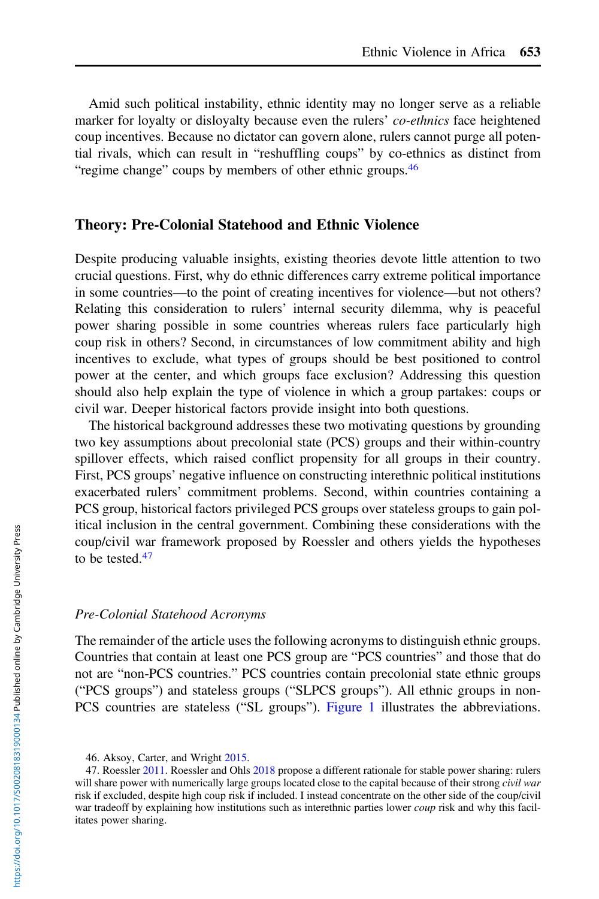Amid such political instability, ethnic identity may no longer serve as a reliable marker for loyalty or disloyalty because even the rulers' co-ethnics face heightened coup incentives. Because no dictator can govern alone, rulers cannot purge all potential rivals, which can result in "reshuffling coups" by co-ethnics as distinct from "regime change" coups by members of other ethnic groups.<sup>46</sup>

# Theory: Pre-Colonial Statehood and Ethnic Violence

Despite producing valuable insights, existing theories devote little attention to two crucial questions. First, why do ethnic differences carry extreme political importance in some countries—to the point of creating incentives for violence—but not others? Relating this consideration to rulers' internal security dilemma, why is peaceful power sharing possible in some countries whereas rulers face particularly high coup risk in others? Second, in circumstances of low commitment ability and high incentives to exclude, what types of groups should be best positioned to control power at the center, and which groups face exclusion? Addressing this question should also help explain the type of violence in which a group partakes: coups or civil war. Deeper historical factors provide insight into both questions.

The historical background addresses these two motivating questions by grounding two key assumptions about precolonial state (PCS) groups and their within-country spillover effects, which raised conflict propensity for all groups in their country. First, PCS groups' negative influence on constructing interethnic political institutions exacerbated rulers' commitment problems. Second, within countries containing a PCS group, historical factors privileged PCS groups over stateless groups to gain political inclusion in the central government. Combining these considerations with the coup/civil war framework proposed by Roessler and others yields the hypotheses to be tested. $47$ 

#### Pre-Colonial Statehood Acronyms

The remainder of the article uses the following acronyms to distinguish ethnic groups. Countries that contain at least one PCS group are "PCS countries" and those that do not are "non-PCS countries." PCS countries contain precolonial state ethnic groups ("PCS groups") and stateless groups ("SLPCS groups"). All ethnic groups in non-PCS countries are stateless ("SL groups"). [Figure 1](#page-9-0) illustrates the abbreviations.

<sup>46.</sup> Aksoy, Carter, and Wright [2015](#page-35-0).

<sup>47.</sup> Roessler [2011](#page-37-0). Roessler and Ohls [2018](#page-37-0) propose a different rationale for stable power sharing: rulers will share power with numerically large groups located close to the capital because of their strong *civil war* risk if excluded, despite high coup risk if included. I instead concentrate on the other side of the coup/civil war tradeoff by explaining how institutions such as interethnic parties lower *coup* risk and why this facilitates power sharing.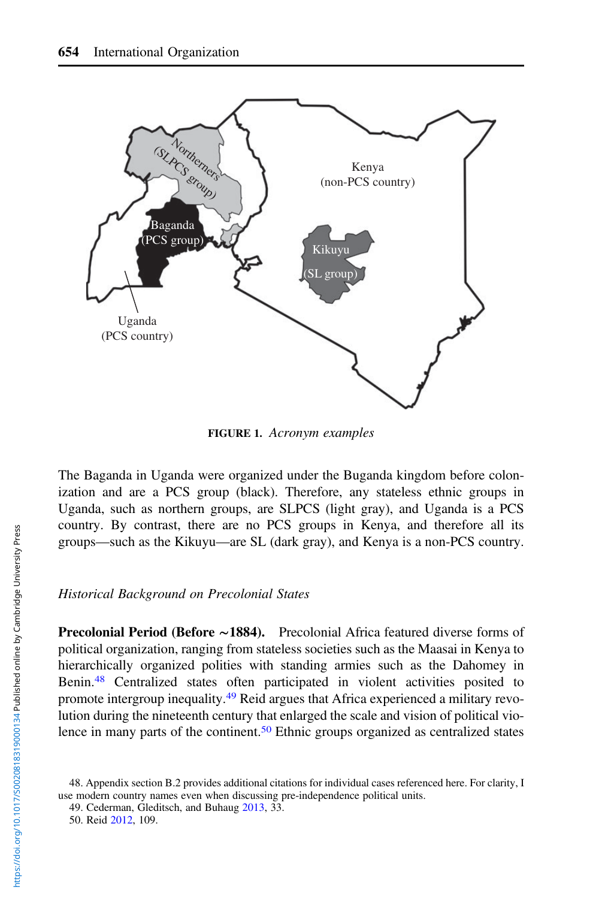<span id="page-9-0"></span>

FIGURE 1. Acronym examples

The Baganda in Uganda were organized under the Buganda kingdom before colonization and are a PCS group (black). Therefore, any stateless ethnic groups in Uganda, such as northern groups, are SLPCS (light gray), and Uganda is a PCS country. By contrast, there are no PCS groups in Kenya, and therefore all its groups—such as the Kikuyu—are SL (dark gray), and Kenya is a non-PCS country.

#### Historical Background on Precolonial States

Precolonial Period (Before ∼1884). Precolonial Africa featured diverse forms of political organization, ranging from stateless societies such as the Maasai in Kenya to hierarchically organized polities with standing armies such as the Dahomey in Benin.<sup>48</sup> Centralized states often participated in violent activities posited to promote intergroup inequality.<sup>49</sup> Reid argues that Africa experienced a military revolution during the nineteenth century that enlarged the scale and vision of political violence in many parts of the continent.<sup>50</sup> Ethnic groups organized as centralized states

<sup>48.</sup> Appendix section B.2 provides additional citations for individual cases referenced here. For clarity, I use modern country names even when discussing pre-independence political units.

<sup>49.</sup> Cederman, Gleditsch, and Buhaug [2013,](#page-35-0) 33.

<sup>50.</sup> Reid [2012,](#page-37-0) 109.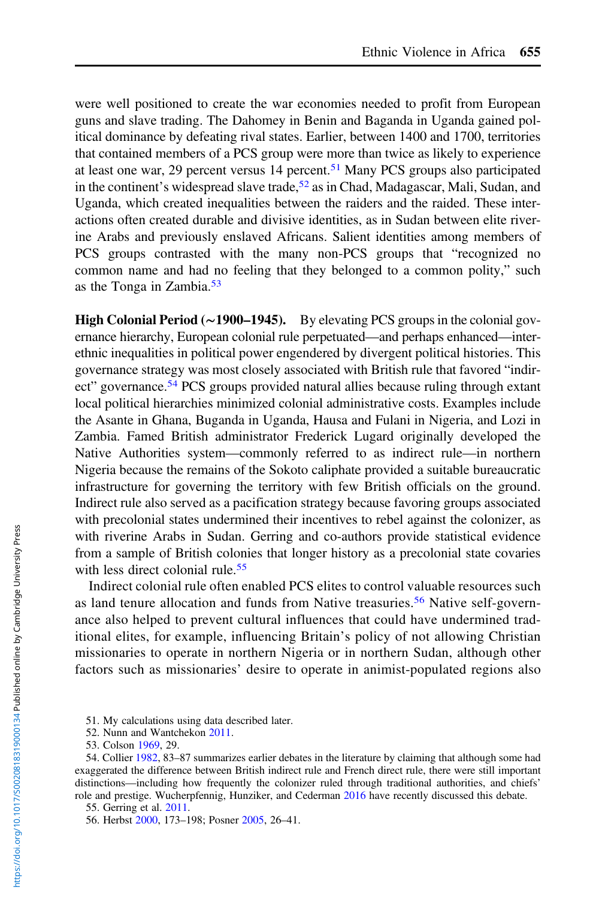were well positioned to create the war economies needed to profit from European guns and slave trading. The Dahomey in Benin and Baganda in Uganda gained political dominance by defeating rival states. Earlier, between 1400 and 1700, territories that contained members of a PCS group were more than twice as likely to experience at least one war, 29 percent versus 14 percent.<sup>51</sup> Many PCS groups also participated in the continent's widespread slave trade,  $5<sup>2</sup>$  as in Chad, Madagascar, Mali, Sudan, and Uganda, which created inequalities between the raiders and the raided. These interactions often created durable and divisive identities, as in Sudan between elite riverine Arabs and previously enslaved Africans. Salient identities among members of PCS groups contrasted with the many non-PCS groups that "recognized no common name and had no feeling that they belonged to a common polity," such as the Tonga in Zambia.<sup>53</sup>

High Colonial Period (∼1900–1945). By elevating PCS groups in the colonial governance hierarchy, European colonial rule perpetuated—and perhaps enhanced—interethnic inequalities in political power engendered by divergent political histories. This governance strategy was most closely associated with British rule that favored "indirect" governance.<sup>54</sup> PCS groups provided natural allies because ruling through extant local political hierarchies minimized colonial administrative costs. Examples include the Asante in Ghana, Buganda in Uganda, Hausa and Fulani in Nigeria, and Lozi in Zambia. Famed British administrator Frederick Lugard originally developed the Native Authorities system—commonly referred to as indirect rule—in northern Nigeria because the remains of the Sokoto caliphate provided a suitable bureaucratic infrastructure for governing the territory with few British officials on the ground. Indirect rule also served as a pacification strategy because favoring groups associated with precolonial states undermined their incentives to rebel against the colonizer, as with riverine Arabs in Sudan. Gerring and co-authors provide statistical evidence from a sample of British colonies that longer history as a precolonial state covaries with less direct colonial rule.<sup>55</sup>

Indirect colonial rule often enabled PCS elites to control valuable resources such as land tenure allocation and funds from Native treasuries.<sup>56</sup> Native self-governance also helped to prevent cultural influences that could have undermined traditional elites, for example, influencing Britain's policy of not allowing Christian missionaries to operate in northern Nigeria or in northern Sudan, although other factors such as missionaries' desire to operate in animist-populated regions also

<sup>51.</sup> My calculations using data described later.

<sup>52.</sup> Nunn and Wantchekon [2011.](#page-36-0)

<sup>53.</sup> Colson [1969](#page-35-0), 29.

<sup>54.</sup> Collier [1982,](#page-35-0) 83–87 summarizes earlier debates in the literature by claiming that although some had exaggerated the difference between British indirect rule and French direct rule, there were still important distinctions—including how frequently the colonizer ruled through traditional authorities, and chiefs' role and prestige. Wucherpfennig, Hunziker, and Cederman [2016](#page-37-0) have recently discussed this debate.

<sup>55.</sup> Gerring et al. [2011](#page-36-0).

<sup>56.</sup> Herbst [2000,](#page-36-0) 173–198; Posner [2005](#page-37-0), 26–41.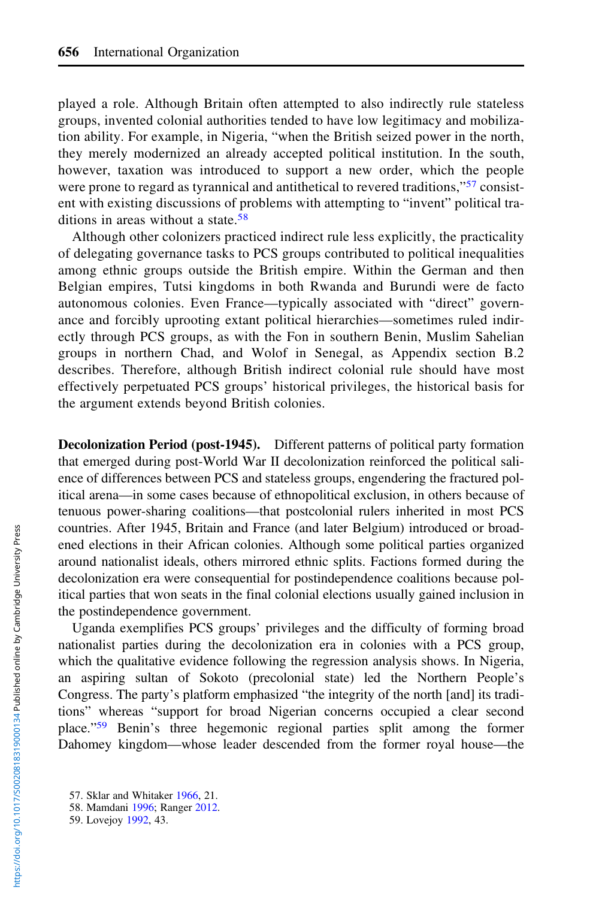played a role. Although Britain often attempted to also indirectly rule stateless groups, invented colonial authorities tended to have low legitimacy and mobilization ability. For example, in Nigeria, "when the British seized power in the north, they merely modernized an already accepted political institution. In the south, however, taxation was introduced to support a new order, which the people were prone to regard as tyrannical and antithetical to revered traditions,"<sup>57</sup> consistent with existing discussions of problems with attempting to "invent" political traditions in areas without a state.<sup>58</sup>

Although other colonizers practiced indirect rule less explicitly, the practicality of delegating governance tasks to PCS groups contributed to political inequalities among ethnic groups outside the British empire. Within the German and then Belgian empires, Tutsi kingdoms in both Rwanda and Burundi were de facto autonomous colonies. Even France—typically associated with "direct" governance and forcibly uprooting extant political hierarchies—sometimes ruled indirectly through PCS groups, as with the Fon in southern Benin, Muslim Sahelian groups in northern Chad, and Wolof in Senegal, as Appendix section B.2 describes. Therefore, although British indirect colonial rule should have most effectively perpetuated PCS groups' historical privileges, the historical basis for the argument extends beyond British colonies.

Decolonization Period (post-1945). Different patterns of political party formation that emerged during post-World War II decolonization reinforced the political salience of differences between PCS and stateless groups, engendering the fractured political arena—in some cases because of ethnopolitical exclusion, in others because of tenuous power-sharing coalitions—that postcolonial rulers inherited in most PCS countries. After 1945, Britain and France (and later Belgium) introduced or broadened elections in their African colonies. Although some political parties organized around nationalist ideals, others mirrored ethnic splits. Factions formed during the decolonization era were consequential for postindependence coalitions because political parties that won seats in the final colonial elections usually gained inclusion in the postindependence government.

Uganda exemplifies PCS groups' privileges and the difficulty of forming broad nationalist parties during the decolonization era in colonies with a PCS group, which the qualitative evidence following the regression analysis shows. In Nigeria, an aspiring sultan of Sokoto (precolonial state) led the Northern People's Congress. The party's platform emphasized "the integrity of the north [and] its traditions" whereas "support for broad Nigerian concerns occupied a clear second place."<sup>59</sup> Benin's three hegemonic regional parties split among the former Dahomey kingdom—whose leader descended from the former royal house—the

<sup>57.</sup> Sklar and Whitaker [1966,](#page-37-0) 21.

<sup>58.</sup> Mamdani [1996](#page-36-0); Ranger [2012.](#page-37-0)

<sup>59.</sup> Lovejoy [1992](#page-36-0), 43.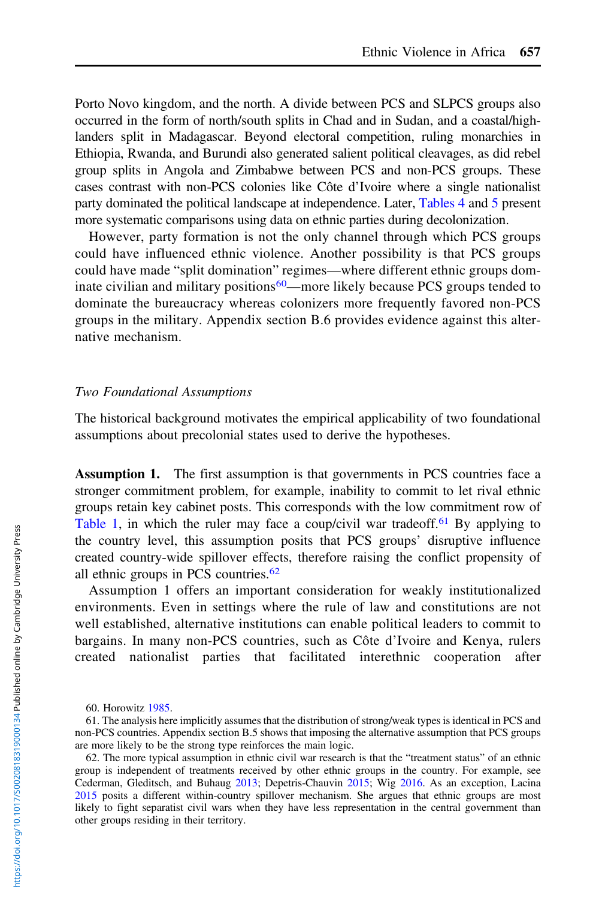Porto Novo kingdom, and the north. A divide between PCS and SLPCS groups also occurred in the form of north/south splits in Chad and in Sudan, and a coastal/highlanders split in Madagascar. Beyond electoral competition, ruling monarchies in Ethiopia, Rwanda, and Burundi also generated salient political cleavages, as did rebel group splits in Angola and Zimbabwe between PCS and non-PCS groups. These cases contrast with non-PCS colonies like Côte d'Ivoire where a single nationalist party dominated the political landscape at independence. Later, [Tables 4](#page-26-0) and [5](#page-27-0) present more systematic comparisons using data on ethnic parties during decolonization.

However, party formation is not the only channel through which PCS groups could have influenced ethnic violence. Another possibility is that PCS groups could have made "split domination" regimes—where different ethnic groups dominate civilian and military positions<sup>60</sup>—more likely because PCS groups tended to dominate the bureaucracy whereas colonizers more frequently favored non-PCS groups in the military. Appendix section B.6 provides evidence against this alternative mechanism.

#### Two Foundational Assumptions

The historical background motivates the empirical applicability of two foundational assumptions about precolonial states used to derive the hypotheses.

Assumption 1. The first assumption is that governments in PCS countries face a stronger commitment problem, for example, inability to commit to let rival ethnic groups retain key cabinet posts. This corresponds with the low commitment row of [Table 1](#page-6-0), in which the ruler may face a coup/civil war tradeoff.<sup>61</sup> By applying to the country level, this assumption posits that PCS groups' disruptive influence created country-wide spillover effects, therefore raising the conflict propensity of all ethnic groups in PCS countries.<sup>62</sup>

Assumption 1 offers an important consideration for weakly institutionalized environments. Even in settings where the rule of law and constitutions are not well established, alternative institutions can enable political leaders to commit to bargains. In many non-PCS countries, such as Côte d'Ivoire and Kenya, rulers created nationalist parties that facilitated interethnic cooperation after

<sup>60.</sup> Horowitz [1985.](#page-36-0)

<sup>61.</sup> The analysis here implicitly assumes that the distribution of strong/weak types is identical in PCS and non-PCS countries. Appendix section B.5 shows that imposing the alternative assumption that PCS groups are more likely to be the strong type reinforces the main logic.

<sup>62.</sup> The more typical assumption in ethnic civil war research is that the "treatment status" of an ethnic group is independent of treatments received by other ethnic groups in the country. For example, see Cederman, Gleditsch, and Buhaug [2013;](#page-35-0) Depetris-Chauvin [2015](#page-35-0); Wig [2016.](#page-37-0) As an exception, Lacina [2015](#page-36-0) posits a different within-country spillover mechanism. She argues that ethnic groups are most likely to fight separatist civil wars when they have less representation in the central government than other groups residing in their territory.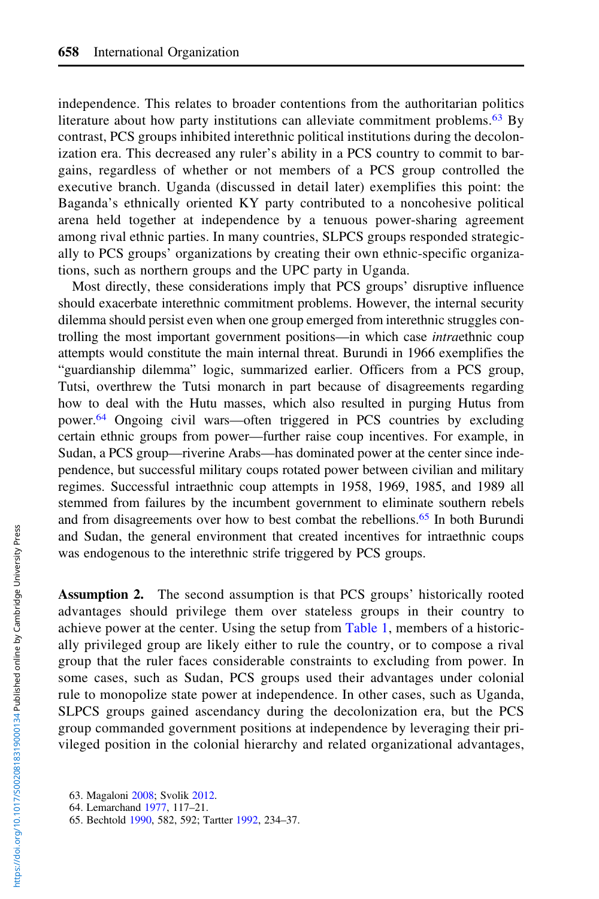independence. This relates to broader contentions from the authoritarian politics literature about how party institutions can alleviate commitment problems.<sup>63</sup> By contrast, PCS groups inhibited interethnic political institutions during the decolonization era. This decreased any ruler's ability in a PCS country to commit to bargains, regardless of whether or not members of a PCS group controlled the executive branch. Uganda (discussed in detail later) exemplifies this point: the Baganda's ethnically oriented KY party contributed to a noncohesive political arena held together at independence by a tenuous power-sharing agreement among rival ethnic parties. In many countries, SLPCS groups responded strategically to PCS groups' organizations by creating their own ethnic-specific organizations, such as northern groups and the UPC party in Uganda.

Most directly, these considerations imply that PCS groups' disruptive influence should exacerbate interethnic commitment problems. However, the internal security dilemma should persist even when one group emerged from interethnic struggles controlling the most important government positions—in which case intraethnic coup attempts would constitute the main internal threat. Burundi in 1966 exemplifies the "guardianship dilemma" logic, summarized earlier. Officers from a PCS group, Tutsi, overthrew the Tutsi monarch in part because of disagreements regarding how to deal with the Hutu masses, which also resulted in purging Hutus from power.<sup>64</sup> Ongoing civil wars—often triggered in PCS countries by excluding certain ethnic groups from power—further raise coup incentives. For example, in Sudan, a PCS group—riverine Arabs—has dominated power at the center since independence, but successful military coups rotated power between civilian and military regimes. Successful intraethnic coup attempts in 1958, 1969, 1985, and 1989 all stemmed from failures by the incumbent government to eliminate southern rebels and from disagreements over how to best combat the rebellions.<sup>65</sup> In both Burundi and Sudan, the general environment that created incentives for intraethnic coups was endogenous to the interethnic strife triggered by PCS groups.

Assumption 2. The second assumption is that PCS groups' historically rooted advantages should privilege them over stateless groups in their country to achieve power at the center. Using the setup from [Table 1](#page-6-0), members of a historically privileged group are likely either to rule the country, or to compose a rival group that the ruler faces considerable constraints to excluding from power. In some cases, such as Sudan, PCS groups used their advantages under colonial rule to monopolize state power at independence. In other cases, such as Uganda, SLPCS groups gained ascendancy during the decolonization era, but the PCS group commanded government positions at independence by leveraging their privileged position in the colonial hierarchy and related organizational advantages,

<sup>63.</sup> Magaloni [2008](#page-36-0); Svolik [2012.](#page-37-0)

<sup>64.</sup> Lemarchand [1977](#page-36-0), 117–21.

<sup>65.</sup> Bechtold [1990](#page-35-0), 582, 592; Tartter [1992](#page-37-0), 234–37.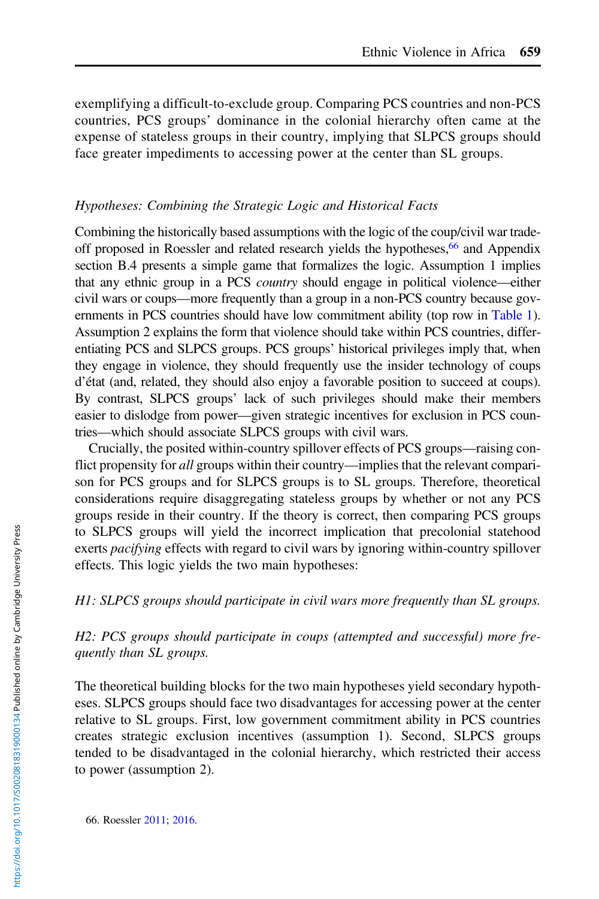exemplifying a difficult-to-exclude group. Comparing PCS countries and non-PCS countries, PCS groups' dominance in the colonial hierarchy often came at the expense of stateless groups in their country, implying that SLPCS groups should face greater impediments to accessing power at the center than SL groups.

## Hypotheses: Combining the Strategic Logic and Historical Facts

Combining the historically based assumptions with the logic of the coup/civil war tradeoff proposed in Roessler and related research yields the hypotheses,<sup>66</sup> and Appendix section B.4 presents a simple game that formalizes the logic. Assumption 1 implies that any ethnic group in a PCS country should engage in political violence—either civil wars or coups—more frequently than a group in a non-PCS country because governments in PCS countries should have low commitment ability (top row in [Table 1](#page-6-0)). Assumption 2 explains the form that violence should take within PCS countries, differentiating PCS and SLPCS groups. PCS groups' historical privileges imply that, when they engage in violence, they should frequently use the insider technology of coups d'état (and, related, they should also enjoy a favorable position to succeed at coups). By contrast, SLPCS groups' lack of such privileges should make their members easier to dislodge from power—given strategic incentives for exclusion in PCS countries—which should associate SLPCS groups with civil wars.

Crucially, the posited within-country spillover effects of PCS groups—raising conflict propensity for all groups within their country—implies that the relevant comparison for PCS groups and for SLPCS groups is to SL groups. Therefore, theoretical considerations require disaggregating stateless groups by whether or not any PCS groups reside in their country. If the theory is correct, then comparing PCS groups to SLPCS groups will yield the incorrect implication that precolonial statehood exerts *pacifying* effects with regard to civil wars by ignoring within-country spillover effects. This logic yields the two main hypotheses:

H1: SLPCS groups should participate in civil wars more frequently than SL groups.

H2: PCS groups should participate in coups (attempted and successful) more frequently than SL groups.

The theoretical building blocks for the two main hypotheses yield secondary hypotheses. SLPCS groups should face two disadvantages for accessing power at the center relative to SL groups. First, low government commitment ability in PCS countries creates strategic exclusion incentives (assumption 1). Second, SLPCS groups tended to be disadvantaged in the colonial hierarchy, which restricted their access to power (assumption 2).

66. Roessler [2011;](#page-37-0) [2016](#page-37-0).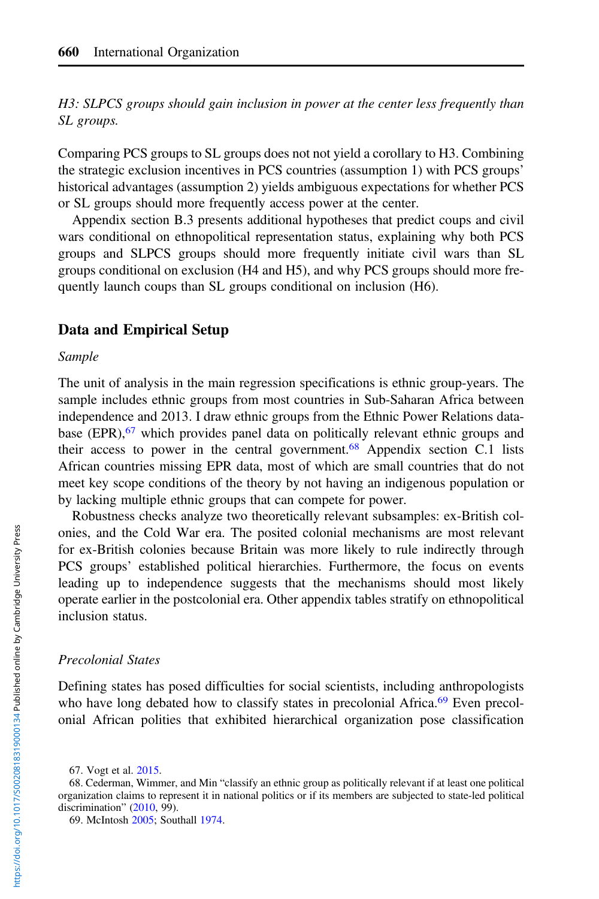H3: SLPCS groups should gain inclusion in power at the center less frequently than SL groups.

Comparing PCS groups to SL groups does not not yield a corollary to H3. Combining the strategic exclusion incentives in PCS countries (assumption 1) with PCS groups' historical advantages (assumption 2) yields ambiguous expectations for whether PCS or SL groups should more frequently access power at the center.

Appendix section B.3 presents additional hypotheses that predict coups and civil wars conditional on ethnopolitical representation status, explaining why both PCS groups and SLPCS groups should more frequently initiate civil wars than SL groups conditional on exclusion (H4 and H5), and why PCS groups should more frequently launch coups than SL groups conditional on inclusion (H6).

## Data and Empirical Setup

#### Sample

The unit of analysis in the main regression specifications is ethnic group-years. The sample includes ethnic groups from most countries in Sub-Saharan Africa between independence and 2013. I draw ethnic groups from the Ethnic Power Relations database  $(EPR)$ ,<sup>67</sup> which provides panel data on politically relevant ethnic groups and their access to power in the central government.<sup>68</sup> Appendix section C.1 lists African countries missing EPR data, most of which are small countries that do not meet key scope conditions of the theory by not having an indigenous population or by lacking multiple ethnic groups that can compete for power.

Robustness checks analyze two theoretically relevant subsamples: ex-British colonies, and the Cold War era. The posited colonial mechanisms are most relevant for ex-British colonies because Britain was more likely to rule indirectly through PCS groups' established political hierarchies. Furthermore, the focus on events leading up to independence suggests that the mechanisms should most likely operate earlier in the postcolonial era. Other appendix tables stratify on ethnopolitical inclusion status.

#### Precolonial States

Defining states has posed difficulties for social scientists, including anthropologists who have long debated how to classify states in precolonial Africa.<sup>69</sup> Even precolonial African polities that exhibited hierarchical organization pose classification

<sup>67.</sup> Vogt et al. [2015.](#page-37-0)

<sup>68.</sup> Cederman, Wimmer, and Min "classify an ethnic group as politically relevant if at least one political organization claims to represent it in national politics or if its members are subjected to state-led political discrimination" [\(2010,](#page-35-0) 99).

<sup>69.</sup> McIntosh [2005](#page-36-0); Southall [1974](#page-37-0).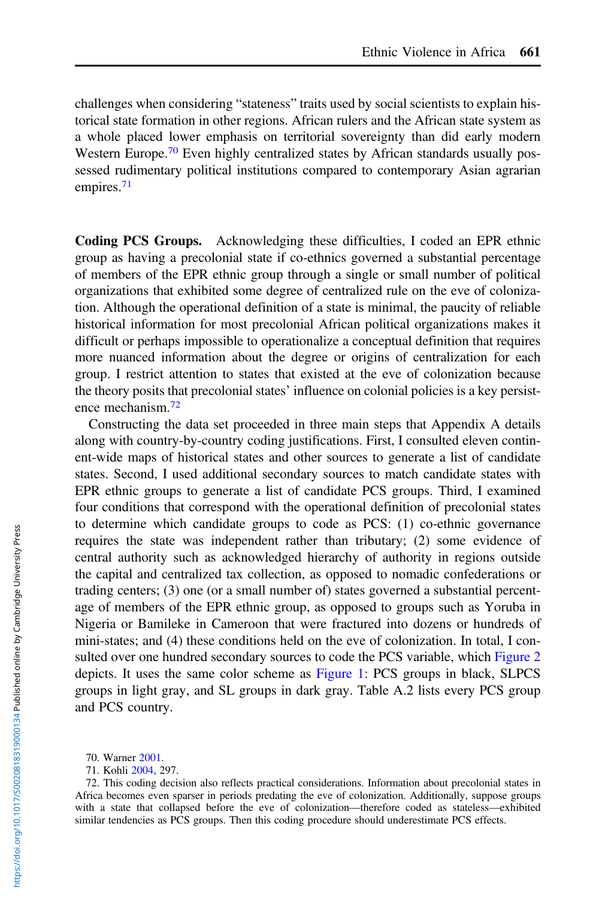challenges when considering "stateness" traits used by social scientists to explain historical state formation in other regions. African rulers and the African state system as a whole placed lower emphasis on territorial sovereignty than did early modern Western Europe.<sup>70</sup> Even highly centralized states by African standards usually possessed rudimentary political institutions compared to contemporary Asian agrarian empires.<sup>71</sup>

Coding PCS Groups. Acknowledging these difficulties, I coded an EPR ethnic group as having a precolonial state if co-ethnics governed a substantial percentage of members of the EPR ethnic group through a single or small number of political organizations that exhibited some degree of centralized rule on the eve of colonization. Although the operational definition of a state is minimal, the paucity of reliable historical information for most precolonial African political organizations makes it difficult or perhaps impossible to operationalize a conceptual definition that requires more nuanced information about the degree or origins of centralization for each group. I restrict attention to states that existed at the eve of colonization because the theory posits that precolonial states' influence on colonial policies is a key persistence mechanism.<sup>72</sup>

Constructing the data set proceeded in three main steps that Appendix A details along with country-by-country coding justifications. First, I consulted eleven continent-wide maps of historical states and other sources to generate a list of candidate states. Second, I used additional secondary sources to match candidate states with EPR ethnic groups to generate a list of candidate PCS groups. Third, I examined four conditions that correspond with the operational definition of precolonial states to determine which candidate groups to code as PCS: (1) co-ethnic governance requires the state was independent rather than tributary; (2) some evidence of central authority such as acknowledged hierarchy of authority in regions outside the capital and centralized tax collection, as opposed to nomadic confederations or trading centers; (3) one (or a small number of) states governed a substantial percentage of members of the EPR ethnic group, as opposed to groups such as Yoruba in Nigeria or Bamileke in Cameroon that were fractured into dozens or hundreds of mini-states; and (4) these conditions held on the eve of colonization. In total, I consulted over one hundred secondary sources to code the PCS variable, which [Figure 2](#page-17-0) depicts. It uses the same color scheme as [Figure 1:](#page-9-0) PCS groups in black, SLPCS groups in light gray, and SL groups in dark gray. Table A.2 lists every PCS group and PCS country.

<sup>70.</sup> Warner [2001](#page-37-0).

<sup>71.</sup> Kohli [2004,](#page-36-0) 297.

<sup>72.</sup> This coding decision also reflects practical considerations. Information about precolonial states in Africa becomes even sparser in periods predating the eve of colonization. Additionally, suppose groups with a state that collapsed before the eve of colonization—therefore coded as stateless—exhibited similar tendencies as PCS groups. Then this coding procedure should underestimate PCS effects.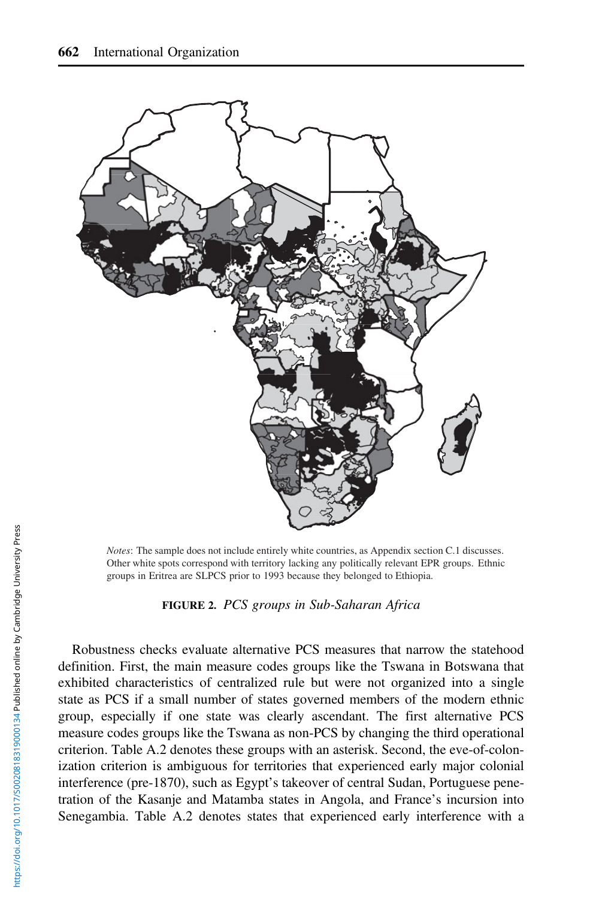<span id="page-17-0"></span>

*Notes*: The sample does not include entirely white countries, as Appendix section C.1 discusses. Other white spots correspond with territory lacking any politically relevant EPR groups. Ethnic groups in Eritrea are SLPCS prior to 1993 because they belonged to Ethiopia.



Robustness checks evaluate alternative PCS measures that narrow the statehood definition. First, the main measure codes groups like the Tswana in Botswana that exhibited characteristics of centralized rule but were not organized into a single state as PCS if a small number of states governed members of the modern ethnic group, especially if one state was clearly ascendant. The first alternative PCS measure codes groups like the Tswana as non-PCS by changing the third operational criterion. Table A.2 denotes these groups with an asterisk. Second, the eve-of-colonization criterion is ambiguous for territories that experienced early major colonial interference (pre-1870), such as Egypt's takeover of central Sudan, Portuguese penetration of the Kasanje and Matamba states in Angola, and France's incursion into Senegambia. Table A.2 denotes states that experienced early interference with a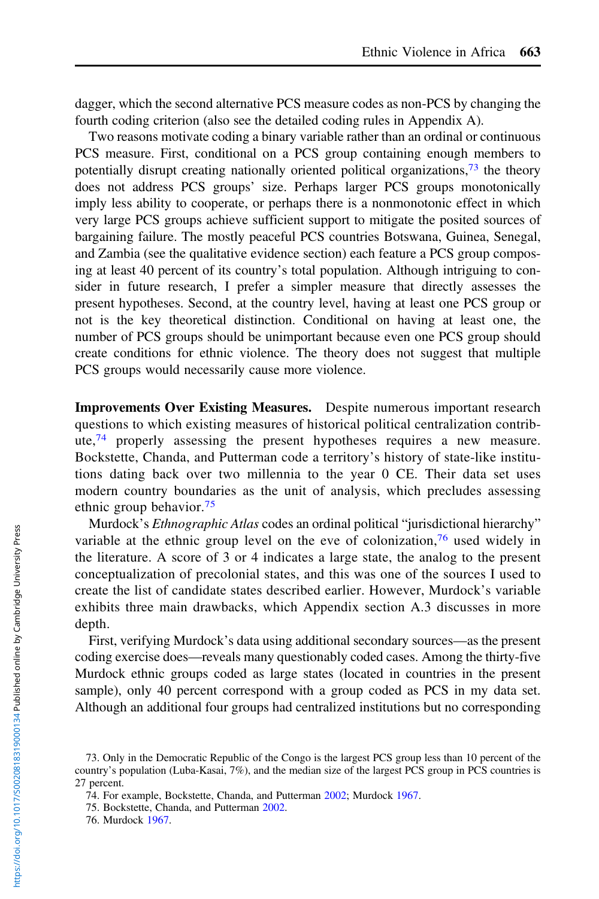dagger, which the second alternative PCS measure codes as non-PCS by changing the fourth coding criterion (also see the detailed coding rules in Appendix A).

Two reasons motivate coding a binary variable rather than an ordinal or continuous PCS measure. First, conditional on a PCS group containing enough members to potentially disrupt creating nationally oriented political organizations,  $73$  the theory does not address PCS groups' size. Perhaps larger PCS groups monotonically imply less ability to cooperate, or perhaps there is a nonmonotonic effect in which very large PCS groups achieve sufficient support to mitigate the posited sources of bargaining failure. The mostly peaceful PCS countries Botswana, Guinea, Senegal, and Zambia (see the qualitative evidence section) each feature a PCS group composing at least 40 percent of its country's total population. Although intriguing to consider in future research, I prefer a simpler measure that directly assesses the present hypotheses. Second, at the country level, having at least one PCS group or not is the key theoretical distinction. Conditional on having at least one, the number of PCS groups should be unimportant because even one PCS group should create conditions for ethnic violence. The theory does not suggest that multiple PCS groups would necessarily cause more violence.

Improvements Over Existing Measures. Despite numerous important research questions to which existing measures of historical political centralization contribute, $74$  properly assessing the present hypotheses requires a new measure. Bockstette, Chanda, and Putterman code a territory's history of state-like institutions dating back over two millennia to the year 0 CE. Their data set uses modern country boundaries as the unit of analysis, which precludes assessing ethnic group behavior.<sup>75</sup>

Murdock's *Ethnographic Atlas* codes an ordinal political "jurisdictional hierarchy" variable at the ethnic group level on the eve of colonization,<sup>76</sup> used widely in the literature. A score of 3 or 4 indicates a large state, the analog to the present conceptualization of precolonial states, and this was one of the sources I used to create the list of candidate states described earlier. However, Murdock's variable exhibits three main drawbacks, which Appendix section A.3 discusses in more depth.

First, verifying Murdock's data using additional secondary sources—as the present coding exercise does—reveals many questionably coded cases. Among the thirty-five Murdock ethnic groups coded as large states (located in countries in the present sample), only 40 percent correspond with a group coded as PCS in my data set. Although an additional four groups had centralized institutions but no corresponding

<sup>73.</sup> Only in the Democratic Republic of the Congo is the largest PCS group less than 10 percent of the country's population (Luba-Kasai, 7%), and the median size of the largest PCS group in PCS countries is 27 percent.

<sup>74.</sup> For example, Bockstette, Chanda, and Putterman [2002;](#page-35-0) Murdock [1967.](#page-36-0)

<sup>75.</sup> Bockstette, Chanda, and Putterman [2002](#page-35-0).

<sup>76.</sup> Murdock [1967.](#page-36-0)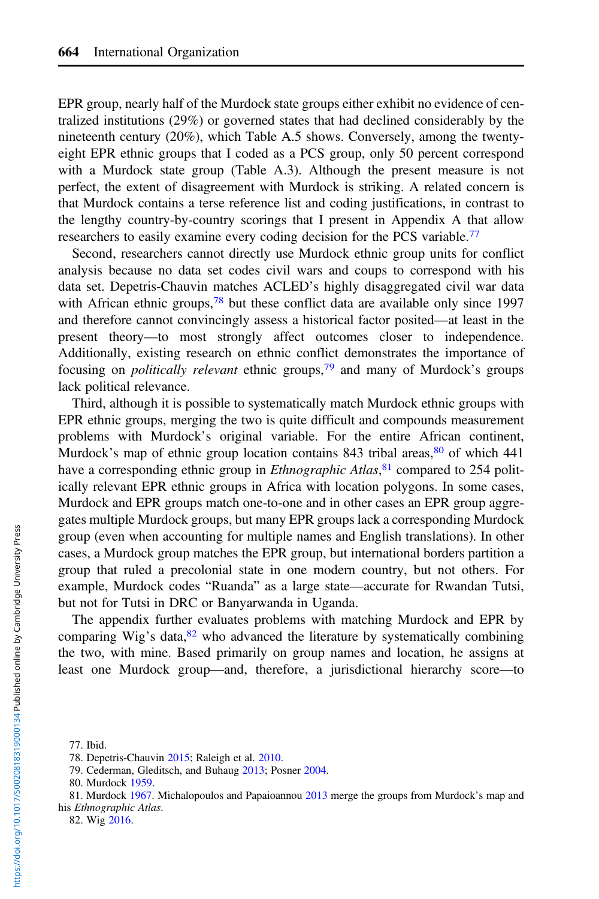EPR group, nearly half of the Murdock state groups either exhibit no evidence of centralized institutions (29%) or governed states that had declined considerably by the nineteenth century (20%), which Table A.5 shows. Conversely, among the twentyeight EPR ethnic groups that I coded as a PCS group, only 50 percent correspond with a Murdock state group (Table A.3). Although the present measure is not perfect, the extent of disagreement with Murdock is striking. A related concern is that Murdock contains a terse reference list and coding justifications, in contrast to the lengthy country-by-country scorings that I present in Appendix A that allow researchers to easily examine every coding decision for the PCS variable.<sup>77</sup>

Second, researchers cannot directly use Murdock ethnic group units for conflict analysis because no data set codes civil wars and coups to correspond with his data set. Depetris-Chauvin matches ACLED's highly disaggregated civil war data with African ethnic groups,  $78$  but these conflict data are available only since 1997 and therefore cannot convincingly assess a historical factor posited—at least in the present theory—to most strongly affect outcomes closer to independence. Additionally, existing research on ethnic conflict demonstrates the importance of focusing on *politically relevant* ethnic groups,<sup>79</sup> and many of Murdock's groups lack political relevance.

Third, although it is possible to systematically match Murdock ethnic groups with EPR ethnic groups, merging the two is quite difficult and compounds measurement problems with Murdock's original variable. For the entire African continent, Murdock's map of ethnic group location contains  $843$  tribal areas,  $80$  of which  $441$ have a corresponding ethnic group in *Ethnographic Atlas*,<sup>81</sup> compared to 254 politically relevant EPR ethnic groups in Africa with location polygons. In some cases, Murdock and EPR groups match one-to-one and in other cases an EPR group aggregates multiple Murdock groups, but many EPR groups lack a corresponding Murdock group (even when accounting for multiple names and English translations). In other cases, a Murdock group matches the EPR group, but international borders partition a group that ruled a precolonial state in one modern country, but not others. For example, Murdock codes "Ruanda" as a large state—accurate for Rwandan Tutsi, but not for Tutsi in DRC or Banyarwanda in Uganda.

The appendix further evaluates problems with matching Murdock and EPR by comparing Wig's data, $82$  who advanced the literature by systematically combining the two, with mine. Based primarily on group names and location, he assigns at least one Murdock group—and, therefore, a jurisdictional hierarchy score—to

82. Wig [2016](#page-37-0).

<sup>77.</sup> Ibid.

<sup>78.</sup> Depetris-Chauvin [2015;](#page-35-0) Raleigh et al. [2010](#page-37-0).

<sup>79.</sup> Cederman, Gleditsch, and Buhaug [2013;](#page-35-0) Posner [2004](#page-37-0).

<sup>80.</sup> Murdock [1959.](#page-36-0)

<sup>81.</sup> Murdock [1967](#page-36-0). Michalopoulos and Papaioannou [2013](#page-36-0) merge the groups from Murdock's map and his Ethnographic Atlas.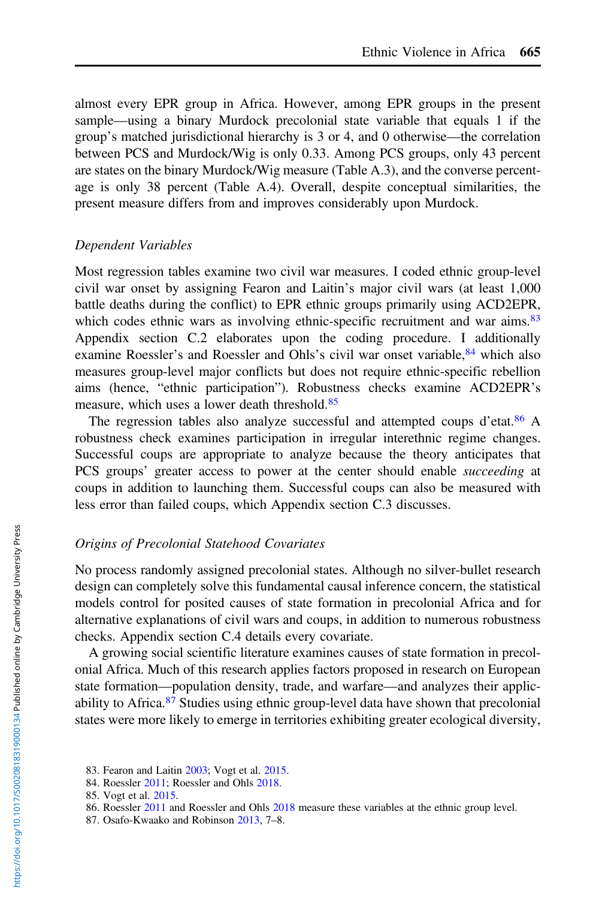almost every EPR group in Africa. However, among EPR groups in the present sample—using a binary Murdock precolonial state variable that equals 1 if the group's matched jurisdictional hierarchy is 3 or 4, and 0 otherwise—the correlation between PCS and Murdock/Wig is only 0.33. Among PCS groups, only 43 percent are states on the binary Murdock/Wig measure (Table A.3), and the converse percentage is only 38 percent (Table A.4). Overall, despite conceptual similarities, the present measure differs from and improves considerably upon Murdock.

## Dependent Variables

Most regression tables examine two civil war measures. I coded ethnic group-level civil war onset by assigning Fearon and Laitin's major civil wars (at least 1,000 battle deaths during the conflict) to EPR ethnic groups primarily using ACD2EPR, which codes ethnic wars as involving ethnic-specific recruitment and war aims.<sup>83</sup> Appendix section C.2 elaborates upon the coding procedure. I additionally examine Roessler's and Roessler and Ohls's civil war onset variable, <sup>84</sup> which also measures group-level major conflicts but does not require ethnic-specific rebellion aims (hence, "ethnic participation"). Robustness checks examine ACD2EPR's measure, which uses a lower death threshold.<sup>85</sup>

The regression tables also analyze successful and attempted coups d'etat.<sup>86</sup> A robustness check examines participation in irregular interethnic regime changes. Successful coups are appropriate to analyze because the theory anticipates that PCS groups' greater access to power at the center should enable succeeding at coups in addition to launching them. Successful coups can also be measured with less error than failed coups, which Appendix section C.3 discusses.

# Origins of Precolonial Statehood Covariates

No process randomly assigned precolonial states. Although no silver-bullet research design can completely solve this fundamental causal inference concern, the statistical models control for posited causes of state formation in precolonial Africa and for alternative explanations of civil wars and coups, in addition to numerous robustness checks. Appendix section C.4 details every covariate.

A growing social scientific literature examines causes of state formation in precolonial Africa. Much of this research applies factors proposed in research on European state formation—population density, trade, and warfare—and analyzes their applicability to Africa.<sup>87</sup> Studies using ethnic group-level data have shown that precolonial states were more likely to emerge in territories exhibiting greater ecological diversity,

87. Osafo-Kwaako and Robinson [2013](#page-37-0), 7–8.

<sup>83.</sup> Fearon and Laitin [2003;](#page-36-0) Vogt et al. [2015.](#page-37-0)

<sup>84.</sup> Roessler [2011;](#page-37-0) Roessler and Ohls [2018](#page-37-0).

<sup>85.</sup> Vogt et al. [2015.](#page-37-0)

<sup>86.</sup> Roessler [2011](#page-37-0) and Roessler and Ohls [2018](#page-37-0) measure these variables at the ethnic group level.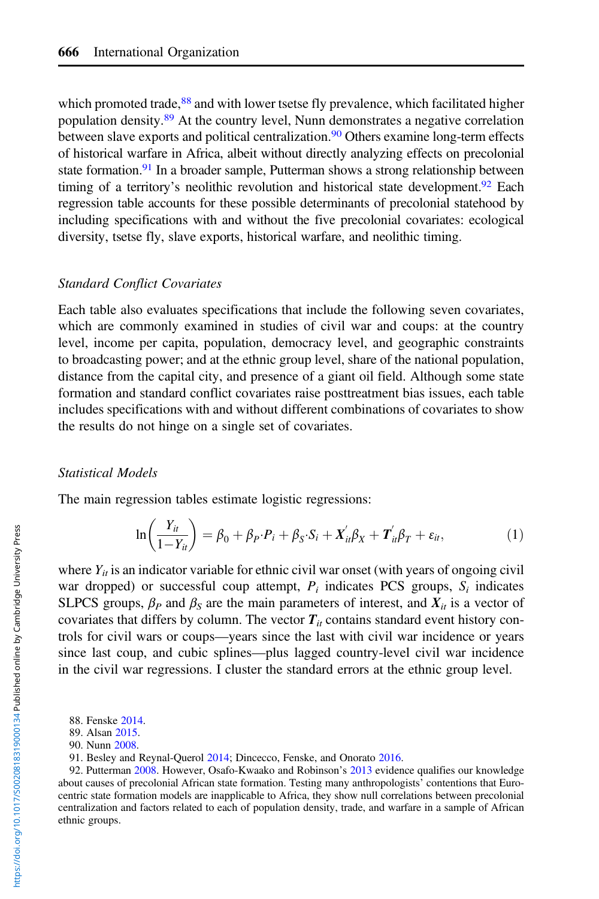which promoted trade, $88$  and with lower tsetse fly prevalence, which facilitated higher population density.<sup>89</sup> At the country level, Nunn demonstrates a negative correlation between slave exports and political centralization.<sup>90</sup> Others examine long-term effects of historical warfare in Africa, albeit without directly analyzing effects on precolonial state formation.<sup>91</sup> In a broader sample, Putterman shows a strong relationship between timing of a territory's neolithic revolution and historical state development.<sup>92</sup> Each regression table accounts for these possible determinants of precolonial statehood by including specifications with and without the five precolonial covariates: ecological diversity, tsetse fly, slave exports, historical warfare, and neolithic timing.

## Standard Conflict Covariates

Each table also evaluates specifications that include the following seven covariates, which are commonly examined in studies of civil war and coups: at the country level, income per capita, population, democracy level, and geographic constraints to broadcasting power; and at the ethnic group level, share of the national population, distance from the capital city, and presence of a giant oil field. Although some state formation and standard conflict covariates raise posttreatment bias issues, each table includes specifications with and without different combinations of covariates to show the results do not hinge on a single set of covariates.

#### Statistical Models

The main regression tables estimate logistic regressions:

$$
\ln\left(\frac{Y_{it}}{1-Y_{it}}\right) = \beta_0 + \beta_P \cdot P_i + \beta_S \cdot S_i + X_{it}' \beta_X + T_{it}' \beta_T + \varepsilon_{it},\tag{1}
$$

where  $Y_{ii}$  is an indicator variable for ethnic civil war onset (with years of ongoing civil war dropped) or successful coup attempt,  $P_i$  indicates PCS groups,  $S_i$  indicates SLPCS groups,  $\beta_P$  and  $\beta_S$  are the main parameters of interest, and  $X_{it}$  is a vector of covariates that differs by column. The vector  $T_{it}$  contains standard event history controls for civil wars or coups—years since the last with civil war incidence or years since last coup, and cubic splines—plus lagged country-level civil war incidence in the civil war regressions. I cluster the standard errors at the ethnic group level.

<sup>88.</sup> Fenske [2014](#page-36-0).

<sup>89.</sup> Alsan [2015](#page-35-0).

<sup>90.</sup> Nunn [2008](#page-36-0).

<sup>91.</sup> Besley and Reynal-Querol [2014](#page-35-0); Dincecco, Fenske, and Onorato [2016](#page-35-0).

<sup>92.</sup> Putterman [2008.](#page-37-0) However, Osafo-Kwaako and Robinson's [2013](#page-37-0) evidence qualifies our knowledge about causes of precolonial African state formation. Testing many anthropologists' contentions that Eurocentric state formation models are inapplicable to Africa, they show null correlations between precolonial centralization and factors related to each of population density, trade, and warfare in a sample of African ethnic groups.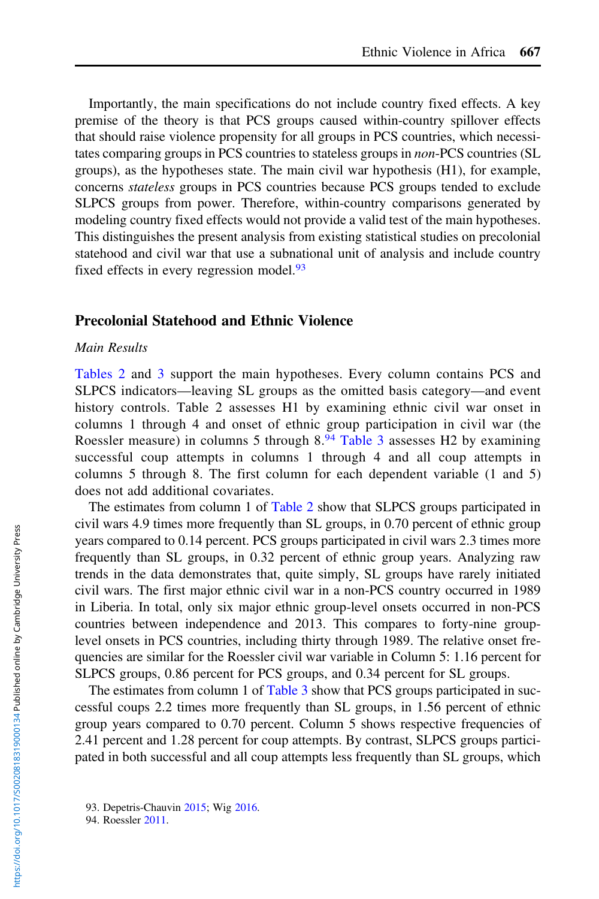Importantly, the main specifications do not include country fixed effects. A key premise of the theory is that PCS groups caused within-country spillover effects that should raise violence propensity for all groups in PCS countries, which necessitates comparing groups in PCS countries to stateless groups in non-PCS countries (SL groups), as the hypotheses state. The main civil war hypothesis (H1), for example, concerns stateless groups in PCS countries because PCS groups tended to exclude SLPCS groups from power. Therefore, within-country comparisons generated by modeling country fixed effects would not provide a valid test of the main hypotheses. This distinguishes the present analysis from existing statistical studies on precolonial statehood and civil war that use a subnational unit of analysis and include country fixed effects in every regression model.<sup>93</sup>

#### Precolonial Statehood and Ethnic Violence

#### Main Results

[Tables 2](#page-23-0) and [3](#page-24-0) support the main hypotheses. Every column contains PCS and SLPCS indicators—leaving SL groups as the omitted basis category—and event history controls. Table 2 assesses H1 by examining ethnic civil war onset in columns 1 through 4 and onset of ethnic group participation in civil war (the Roessler measure) in columns 5 through 8.<sup>94</sup> [Table 3](#page-24-0) assesses H2 by examining successful coup attempts in columns 1 through 4 and all coup attempts in columns 5 through 8. The first column for each dependent variable (1 and 5) does not add additional covariates.

The estimates from column 1 of [Table 2](#page-23-0) show that SLPCS groups participated in civil wars 4.9 times more frequently than SL groups, in 0.70 percent of ethnic group years compared to 0.14 percent. PCS groups participated in civil wars 2.3 times more frequently than SL groups, in 0.32 percent of ethnic group years. Analyzing raw trends in the data demonstrates that, quite simply, SL groups have rarely initiated civil wars. The first major ethnic civil war in a non-PCS country occurred in 1989 in Liberia. In total, only six major ethnic group-level onsets occurred in non-PCS countries between independence and 2013. This compares to forty-nine grouplevel onsets in PCS countries, including thirty through 1989. The relative onset frequencies are similar for the Roessler civil war variable in Column 5: 1.16 percent for SLPCS groups, 0.86 percent for PCS groups, and 0.34 percent for SL groups.

The estimates from column 1 of [Table 3](#page-24-0) show that PCS groups participated in successful coups 2.2 times more frequently than SL groups, in 1.56 percent of ethnic group years compared to 0.70 percent. Column 5 shows respective frequencies of 2.41 percent and 1.28 percent for coup attempts. By contrast, SLPCS groups participated in both successful and all coup attempts less frequently than SL groups, which

<sup>93.</sup> Depetris-Chauvin [2015;](#page-35-0) Wig [2016](#page-37-0).

<sup>94.</sup> Roessler [2011.](#page-37-0)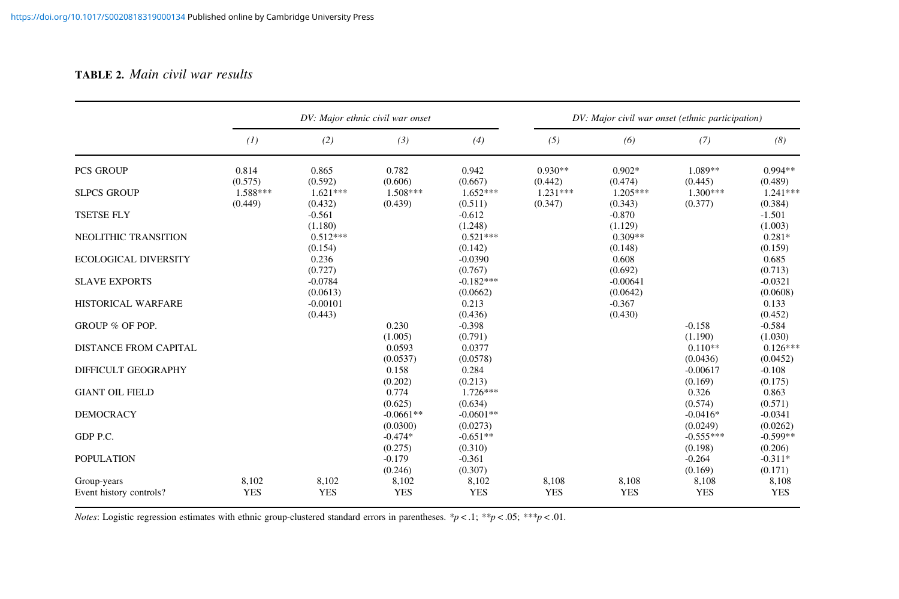#### <span id="page-23-0"></span>TABLE 2. Main civil war results

|                                               | DV: Major ethnic civil war onset |                       |                           |                                | DV: Major civil war onset (ethnic participation) |                        |                                |                              |
|-----------------------------------------------|----------------------------------|-----------------------|---------------------------|--------------------------------|--------------------------------------------------|------------------------|--------------------------------|------------------------------|
|                                               | (1)                              | (2)                   | (3)                       | (4)                            | (5)                                              | (6)                    | (7)                            | (8)                          |
| <b>PCS GROUP</b>                              | 0.814<br>(0.575)                 | 0.865<br>(0.592)      | 0.782<br>(0.606)          | 0.942<br>(0.667)               | $0.930**$<br>(0.442)                             | $0.902*$<br>(0.474)    | 1.089**<br>(0.445)             | $0.994**$<br>(0.489)         |
| <b>SLPCS GROUP</b>                            | 1.588***<br>(0.449)              | $1.621***$<br>(0.432) | $1.508***$<br>(0.439)     | $1.652***$<br>(0.511)          | $1.231***$<br>(0.347)                            | $1.205***$<br>(0.343)  | $1.300***$<br>(0.377)          | $1.241***$<br>(0.384)        |
| <b>TSETSE FLY</b>                             |                                  | $-0.561$<br>(1.180)   |                           | $-0.612$<br>(1.248)            |                                                  | $-0.870$<br>(1.129)    |                                | $-1.501$<br>(1.003)          |
| NEOLITHIC TRANSITION                          |                                  | $0.512***$<br>(0.154) |                           | $0.521***$<br>(0.142)          |                                                  | $0.309**$<br>(0.148)   |                                | $0.281*$<br>(0.159)          |
| <b>ECOLOGICAL DIVERSITY</b>                   |                                  | 0.236<br>(0.727)      |                           | $-0.0390$<br>(0.767)           |                                                  | 0.608<br>(0.692)       |                                | 0.685<br>(0.713)             |
| <b>SLAVE EXPORTS</b>                          |                                  | $-0.0784$<br>(0.0613) |                           | $-0.182***$<br>(0.0662)        |                                                  | $-0.00641$<br>(0.0642) |                                | $-0.0321$<br>(0.0608)        |
| <b>HISTORICAL WARFARE</b>                     |                                  | $-0.00101$<br>(0.443) |                           | 0.213<br>(0.436)               |                                                  | $-0.367$<br>(0.430)    |                                | 0.133<br>(0.452)             |
| GROUP % OF POP.                               |                                  |                       | 0.230<br>(1.005)          | $-0.398$<br>(0.791)            |                                                  |                        | $-0.158$<br>(1.190)            | $-0.584$<br>(1.030)          |
| <b>DISTANCE FROM CAPITAL</b>                  |                                  |                       | 0.0593<br>(0.0537)        | 0.0377<br>(0.0578)             |                                                  |                        | $0.110**$<br>(0.0436)          | $0.126***$<br>(0.0452)       |
| DIFFICULT GEOGRAPHY<br><b>GIANT OIL FIELD</b> |                                  |                       | 0.158<br>(0.202)<br>0.774 | 0.284<br>(0.213)<br>$1.726***$ |                                                  |                        | $-0.00617$<br>(0.169)<br>0.326 | $-0.108$<br>(0.175)<br>0.863 |
| <b>DEMOCRACY</b>                              |                                  |                       | (0.625)<br>$-0.0661**$    | (0.634)<br>$-0.0601**$         |                                                  |                        | (0.574)<br>$-0.0416*$          | (0.571)<br>$-0.0341$         |
| GDP P.C.                                      |                                  |                       | (0.0300)<br>$-0.474*$     | (0.0273)<br>$-0.651**$         |                                                  |                        | (0.0249)<br>$-0.555***$        | (0.0262)<br>$-0.599**$       |
| <b>POPULATION</b>                             |                                  |                       | (0.275)<br>$-0.179$       | (0.310)<br>$-0.361$            |                                                  |                        | (0.198)<br>$-0.264$            | (0.206)<br>$-0.311*$         |
| Group-years                                   | 8,102                            | 8,102                 | (0.246)<br>8,102          | (0.307)<br>8,102               | 8,108                                            | 8,108                  | (0.169)<br>8,108               | (0.171)<br>8,108             |
| Event history controls?                       | <b>YES</b>                       | <b>YES</b>            | <b>YES</b>                | <b>YES</b>                     | <b>YES</b>                                       | <b>YES</b>             | <b>YES</b>                     | <b>YES</b>                   |

*Notes*: Logistic regression estimates with ethnic group-clustered standard errors in parentheses. \*p < .1; \*\*p < .05; \*\*\*p < .01.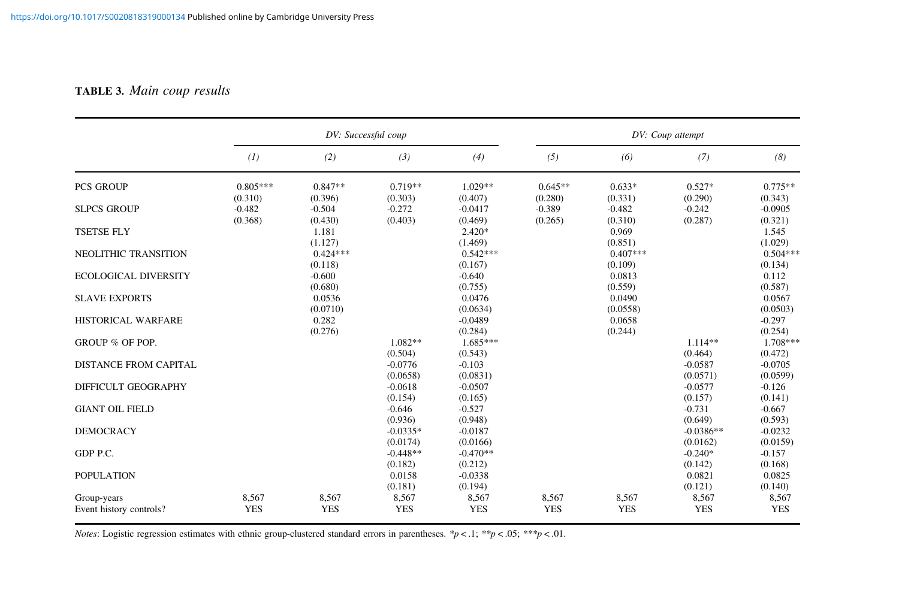#### <span id="page-24-0"></span>TABLE 3. Main coup results

|                                                   | DV: Successful coup   |                             |                                   |                                   |                      |                              | DV: Coup attempt                 |                                 |
|---------------------------------------------------|-----------------------|-----------------------------|-----------------------------------|-----------------------------------|----------------------|------------------------------|----------------------------------|---------------------------------|
|                                                   | (1)                   | (2)                         | (3)                               | (4)                               | (5)                  | (6)                          | (7)                              | (8)                             |
| <b>PCS GROUP</b>                                  | $0.805***$<br>(0.310) | $0.847**$<br>(0.396)        | $0.719**$<br>(0.303)              | $1.029**$<br>(0.407)              | $0.645**$<br>(0.280) | $0.633*$<br>(0.331)          | $0.527*$<br>(0.290)              | $0.775**$<br>(0.343)            |
| <b>SLPCS GROUP</b>                                | $-0.482$<br>(0.368)   | $-0.504$<br>(0.430)         | $-0.272$<br>(0.403)               | $-0.0417$<br>(0.469)              | $-0.389$<br>(0.265)  | $-0.482$<br>(0.310)          | $-0.242$<br>(0.287)              | $-0.0905$<br>(0.321)            |
| <b>TSETSE FLY</b>                                 |                       | 1.181<br>(1.127)            |                                   | $2.420*$<br>(1.469)               |                      | 0.969<br>(0.851)             |                                  | 1.545<br>(1.029)                |
| NEOLITHIC TRANSITION                              |                       | $0.424***$<br>(0.118)       |                                   | $0.542***$<br>(0.167)             |                      | $0.407***$<br>(0.109)        |                                  | $0.504***$<br>(0.134)           |
| <b>ECOLOGICAL DIVERSITY</b>                       |                       | $-0.600$<br>(0.680)         |                                   | $-0.640$<br>(0.755)               |                      | 0.0813<br>(0.559)            |                                  | 0.112<br>(0.587)                |
| <b>SLAVE EXPORTS</b><br><b>HISTORICAL WARFARE</b> |                       | 0.0536<br>(0.0710)<br>0.282 |                                   | 0.0476<br>(0.0634)<br>$-0.0489$   |                      | 0.0490<br>(0.0558)<br>0.0658 |                                  | 0.0567<br>(0.0503)<br>$-0.297$  |
| GROUP % OF POP.                                   |                       | (0.276)                     | $1.082**$                         | (0.284)<br>$1.685***$             |                      | (0.244)                      | $1.114**$                        | (0.254)<br>$1.708***$           |
| <b>DISTANCE FROM CAPITAL</b>                      |                       |                             | (0.504)<br>$-0.0776$              | (0.543)<br>$-0.103$               |                      |                              | (0.464)<br>$-0.0587$             | (0.472)<br>$-0.0705$            |
| DIFFICULT GEOGRAPHY                               |                       |                             | (0.0658)<br>$-0.0618$             | (0.0831)<br>$-0.0507$             |                      |                              | (0.0571)<br>$-0.0577$            | (0.0599)<br>$-0.126$            |
| <b>GIANT OIL FIELD</b>                            |                       |                             | (0.154)<br>$-0.646$               | (0.165)<br>$-0.527$               |                      |                              | (0.157)<br>$-0.731$              | (0.141)<br>$-0.667$             |
| <b>DEMOCRACY</b>                                  |                       |                             | (0.936)<br>$-0.0335*$             | (0.948)<br>$-0.0187$              |                      |                              | (0.649)<br>$-0.0386**$           | (0.593)<br>$-0.0232$            |
| GDP P.C.                                          |                       |                             | (0.0174)<br>$-0.448**$<br>(0.182) | (0.0166)<br>$-0.470**$<br>(0.212) |                      |                              | (0.0162)<br>$-0.240*$<br>(0.142) | (0.0159)<br>$-0.157$<br>(0.168) |
| <b>POPULATION</b>                                 |                       |                             | 0.0158<br>(0.181)                 | $-0.0338$<br>(0.194)              |                      |                              | 0.0821<br>(0.121)                | 0.0825<br>(0.140)               |
| Group-years<br>Event history controls?            | 8,567<br><b>YES</b>   | 8,567<br><b>YES</b>         | 8,567<br><b>YES</b>               | 8,567<br><b>YES</b>               | 8,567<br><b>YES</b>  | 8,567<br><b>YES</b>          | 8,567<br><b>YES</b>              | 8,567<br><b>YES</b>             |

*Notes:* Logistic regression estimates with ethnic group-clustered standard errors in parentheses. \*p < .1; \*\*p < .05; \*\*\*p < .01.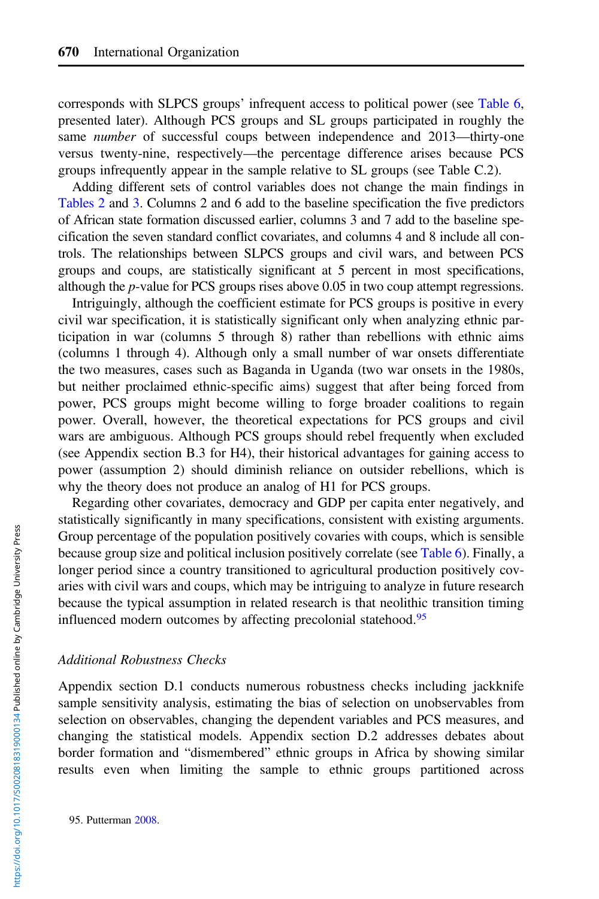corresponds with SLPCS groups' infrequent access to political power (see [Table 6](#page-29-0), presented later). Although PCS groups and SL groups participated in roughly the same *number* of successful coups between independence and 2013—thirty-one versus twenty-nine, respectively—the percentage difference arises because PCS groups infrequently appear in the sample relative to SL groups (see Table C.2).

Adding different sets of control variables does not change the main findings in [Tables 2](#page-23-0) and [3.](#page-24-0) Columns 2 and 6 add to the baseline specification the five predictors of African state formation discussed earlier, columns 3 and 7 add to the baseline specification the seven standard conflict covariates, and columns 4 and 8 include all controls. The relationships between SLPCS groups and civil wars, and between PCS groups and coups, are statistically significant at 5 percent in most specifications, although the p-value for PCS groups rises above 0.05 in two coup attempt regressions.

Intriguingly, although the coefficient estimate for PCS groups is positive in every civil war specification, it is statistically significant only when analyzing ethnic participation in war (columns 5 through 8) rather than rebellions with ethnic aims (columns 1 through 4). Although only a small number of war onsets differentiate the two measures, cases such as Baganda in Uganda (two war onsets in the 1980s, but neither proclaimed ethnic-specific aims) suggest that after being forced from power, PCS groups might become willing to forge broader coalitions to regain power. Overall, however, the theoretical expectations for PCS groups and civil wars are ambiguous. Although PCS groups should rebel frequently when excluded (see Appendix section B.3 for H4), their historical advantages for gaining access to power (assumption 2) should diminish reliance on outsider rebellions, which is why the theory does not produce an analog of H1 for PCS groups.

Regarding other covariates, democracy and GDP per capita enter negatively, and statistically significantly in many specifications, consistent with existing arguments. Group percentage of the population positively covaries with coups, which is sensible because group size and political inclusion positively correlate (see [Table 6](#page-29-0)). Finally, a longer period since a country transitioned to agricultural production positively covaries with civil wars and coups, which may be intriguing to analyze in future research because the typical assumption in related research is that neolithic transition timing influenced modern outcomes by affecting precolonial statehood.<sup>95</sup>

#### Additional Robustness Checks

Appendix section D.1 conducts numerous robustness checks including jackknife sample sensitivity analysis, estimating the bias of selection on unobservables from selection on observables, changing the dependent variables and PCS measures, and changing the statistical models. Appendix section D.2 addresses debates about border formation and "dismembered" ethnic groups in Africa by showing similar results even when limiting the sample to ethnic groups partitioned across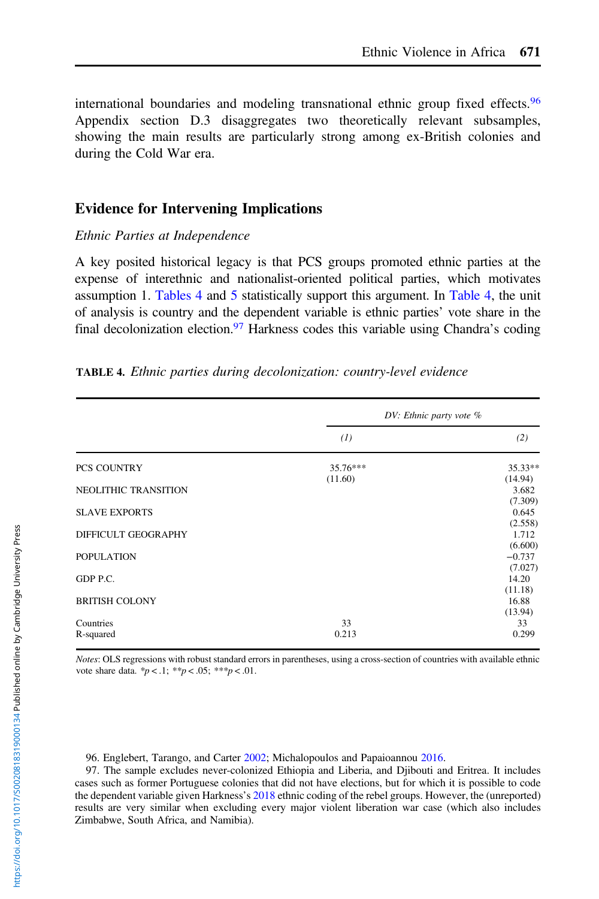<span id="page-26-0"></span>international boundaries and modeling transnational ethnic group fixed effects.<sup>96</sup> Appendix section D.3 disaggregates two theoretically relevant subsamples, showing the main results are particularly strong among ex-British colonies and during the Cold War era.

# Evidence for Intervening Implications

## Ethnic Parties at Independence

A key posited historical legacy is that PCS groups promoted ethnic parties at the expense of interethnic and nationalist-oriented political parties, which motivates assumption 1. Tables 4 and [5](#page-27-0) statistically support this argument. In Table 4, the unit of analysis is country and the dependent variable is ethnic parties' vote share in the final decolonization election.<sup>97</sup> Harkness codes this variable using Chandra's coding

|                       | $DV$ : Ethnic party vote $%$ |                     |
|-----------------------|------------------------------|---------------------|
|                       | (1)                          | (2)                 |
| PCS COUNTRY           | 35.76***                     | $35.33**$           |
| NEOLITHIC TRANSITION  | (11.60)                      | (14.94)<br>3.682    |
|                       |                              | (7.309)             |
| <b>SLAVE EXPORTS</b>  |                              | 0.645               |
|                       |                              | (2.558)             |
| DIFFICULT GEOGRAPHY   |                              | 1.712               |
|                       |                              | (6.600)             |
| <b>POPULATION</b>     |                              | $-0.737$<br>(7.027) |
| GDP P.C.              |                              | 14.20               |
|                       |                              | (11.18)             |
| <b>BRITISH COLONY</b> |                              | 16.88               |
|                       |                              | (13.94)             |
| Countries             | 33                           | 33                  |
| R-squared             | 0.213                        | 0.299               |

Notes: OLS regressions with robust standard errors in parentheses, using a cross-section of countries with available ethnic vote share data.  ${}^*p < .1$ ;  ${}^{**}p < .05$ ;  ${}^{**}p < .01$ .

96. Englebert, Tarango, and Carter [2002;](#page-36-0) Michalopoulos and Papaioannou [2016.](#page-36-0)

97. The sample excludes never-colonized Ethiopia and Liberia, and Djibouti and Eritrea. It includes cases such as former Portuguese colonies that did not have elections, but for which it is possible to code the dependent variable given Harkness's [2018](#page-36-0) ethnic coding of the rebel groups. However, the (unreported) results are very similar when excluding every major violent liberation war case (which also includes Zimbabwe, South Africa, and Namibia).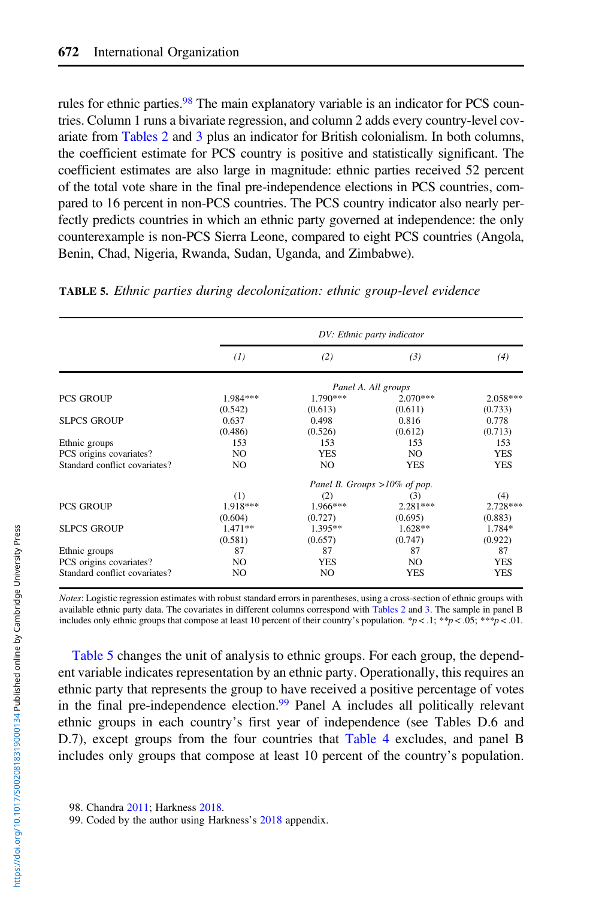<span id="page-27-0"></span>rules for ethnic parties.<sup>98</sup> The main explanatory variable is an indicator for PCS countries. Column 1 runs a bivariate regression, and column 2 adds every country-level covariate from [Tables 2](#page-23-0) and [3](#page-24-0) plus an indicator for British colonialism. In both columns, the coefficient estimate for PCS country is positive and statistically significant. The coefficient estimates are also large in magnitude: ethnic parties received 52 percent of the total vote share in the final pre-independence elections in PCS countries, compared to 16 percent in non-PCS countries. The PCS country indicator also nearly perfectly predicts countries in which an ethnic party governed at independence: the only counterexample is non-PCS Sierra Leone, compared to eight PCS countries (Angola, Benin, Chad, Nigeria, Rwanda, Sudan, Uganda, and Zimbabwe).

|                               |                |            | DV: Ethnic party indicator      |            |
|-------------------------------|----------------|------------|---------------------------------|------------|
|                               | (1)            | (2)        | (3)                             | (4)        |
|                               |                |            | Panel A. All groups             |            |
| <b>PCS GROUP</b>              | 1.984***       | 1.790***   | $2.070***$                      | $2.058***$ |
|                               | (0.542)        | (0.613)    | (0.611)                         | (0.733)    |
| <b>SLPCS GROUP</b>            | 0.637          | 0.498      | 0.816                           | 0.778      |
|                               | (0.486)        | (0.526)    | (0.612)                         | (0.713)    |
| Ethnic groups                 | 153            | 153        | 153                             | 153        |
| PCS origins covariates?       | N <sub>O</sub> | <b>YES</b> | N <sub>O</sub>                  | <b>YES</b> |
| Standard conflict covariates? | NO.            | NO.        | <b>YES</b>                      | <b>YES</b> |
|                               |                |            | Panel B. Groups $>10\%$ of pop. |            |
|                               | (1)            | (2)        | (3)                             | (4)        |
| <b>PCS GROUP</b>              | 1.918***       | $1.966***$ | $2.281***$                      | $2.728***$ |
|                               | (0.604)        | (0.727)    | (0.695)                         | (0.883)    |
| <b>SLPCS GROUP</b>            | $1.471**$      | $1.395**$  | $1.628**$                       | 1.784*     |
|                               | (0.581)        | (0.657)    | (0.747)                         | (0.922)    |
| Ethnic groups                 | 87             | 87         | 87                              | 87         |
| PCS origins covariates?       | NO.            | <b>YES</b> | NO.                             | <b>YES</b> |
| Standard conflict covariates? | NO             | NO         | <b>YES</b>                      | YES        |

TABLE 5. Ethnic parties during decolonization: ethnic group-level evidence

Notes: Logistic regression estimates with robust standard errors in parentheses, using a cross-section of ethnic groups with available ethnic party data. The covariates in different columns correspond with [Tables 2](#page-23-0) and [3](#page-24-0). The sample in panel B includes only ethnic groups that compose at least 10 percent of their country's population. \*p < .1; \*\*p < .05; \*\*\*p < .01.

Table 5 changes the unit of analysis to ethnic groups. For each group, the dependent variable indicates representation by an ethnic party. Operationally, this requires an ethnic party that represents the group to have received a positive percentage of votes in the final pre-independence election.<sup>99</sup> Panel A includes all politically relevant ethnic groups in each country's first year of independence (see Tables D.6 and D.7), except groups from the four countries that [Table 4](#page-26-0) excludes, and panel B includes only groups that compose at least 10 percent of the country's population.

<sup>99.</sup> Coded by the author using Harkness's [2018](#page-36-0) appendix.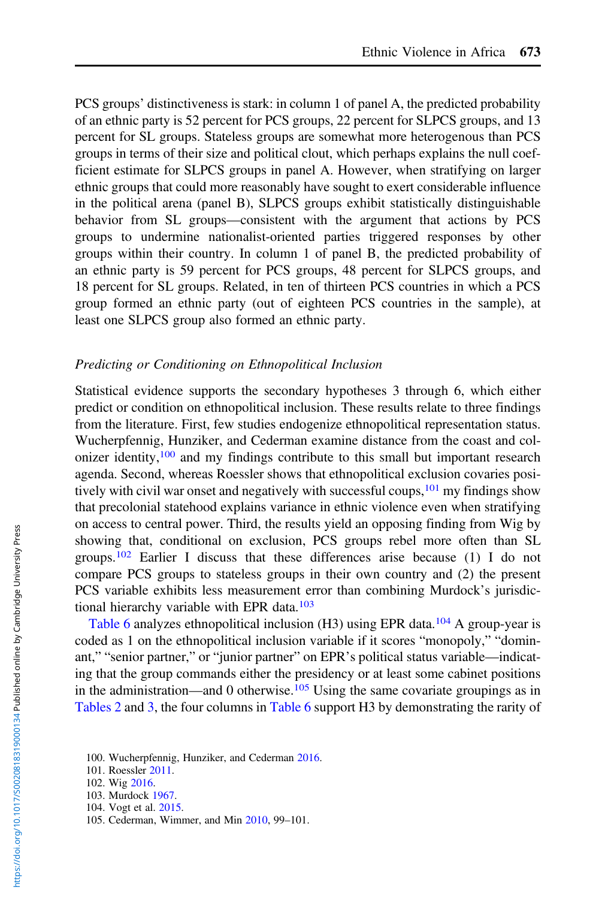PCS groups' distinctiveness is stark: in column 1 of panel A, the predicted probability of an ethnic party is 52 percent for PCS groups, 22 percent for SLPCS groups, and 13 percent for SL groups. Stateless groups are somewhat more heterogenous than PCS groups in terms of their size and political clout, which perhaps explains the null coefficient estimate for SLPCS groups in panel A. However, when stratifying on larger ethnic groups that could more reasonably have sought to exert considerable influence in the political arena (panel B), SLPCS groups exhibit statistically distinguishable behavior from SL groups—consistent with the argument that actions by PCS groups to undermine nationalist-oriented parties triggered responses by other groups within their country. In column 1 of panel B, the predicted probability of an ethnic party is 59 percent for PCS groups, 48 percent for SLPCS groups, and 18 percent for SL groups. Related, in ten of thirteen PCS countries in which a PCS group formed an ethnic party (out of eighteen PCS countries in the sample), at least one SLPCS group also formed an ethnic party.

#### Predicting or Conditioning on Ethnopolitical Inclusion

Statistical evidence supports the secondary hypotheses 3 through 6, which either predict or condition on ethnopolitical inclusion. These results relate to three findings from the literature. First, few studies endogenize ethnopolitical representation status. Wucherpfennig, Hunziker, and Cederman examine distance from the coast and colonizer identity, $100$  and my findings contribute to this small but important research agenda. Second, whereas Roessler shows that ethnopolitical exclusion covaries positively with civil war onset and negatively with successful coups, <sup>101</sup> my findings show that precolonial statehood explains variance in ethnic violence even when stratifying on access to central power. Third, the results yield an opposing finding from Wig by showing that, conditional on exclusion, PCS groups rebel more often than SL groups.<sup>102</sup> Earlier I discuss that these differences arise because (1) I do not compare PCS groups to stateless groups in their own country and (2) the present PCS variable exhibits less measurement error than combining Murdock's jurisdictional hierarchy variable with EPR data.<sup>103</sup>

[Table 6](#page-29-0) analyzes ethnopolitical inclusion  $(H3)$  using EPR data.<sup>104</sup> A group-year is coded as 1 on the ethnopolitical inclusion variable if it scores "monopoly," "dominant," "senior partner," or "junior partner" on EPR's political status variable—indicating that the group commands either the presidency or at least some cabinet positions in the administration—and 0 otherwise.<sup>105</sup> Using the same covariate groupings as in [Tables 2](#page-23-0) and [3](#page-24-0), the four columns in [Table 6](#page-29-0) support H3 by demonstrating the rarity of

<sup>100.</sup> Wucherpfennig, Hunziker, and Cederman [2016](#page-37-0).

<sup>101.</sup> Roessler [2011.](#page-37-0)

<sup>102.</sup> Wig [2016](#page-37-0).

<sup>103.</sup> Murdock [1967.](#page-36-0)

<sup>104.</sup> Vogt et al. [2015.](#page-37-0)

<sup>105.</sup> Cederman, Wimmer, and Min [2010](#page-35-0), 99–101.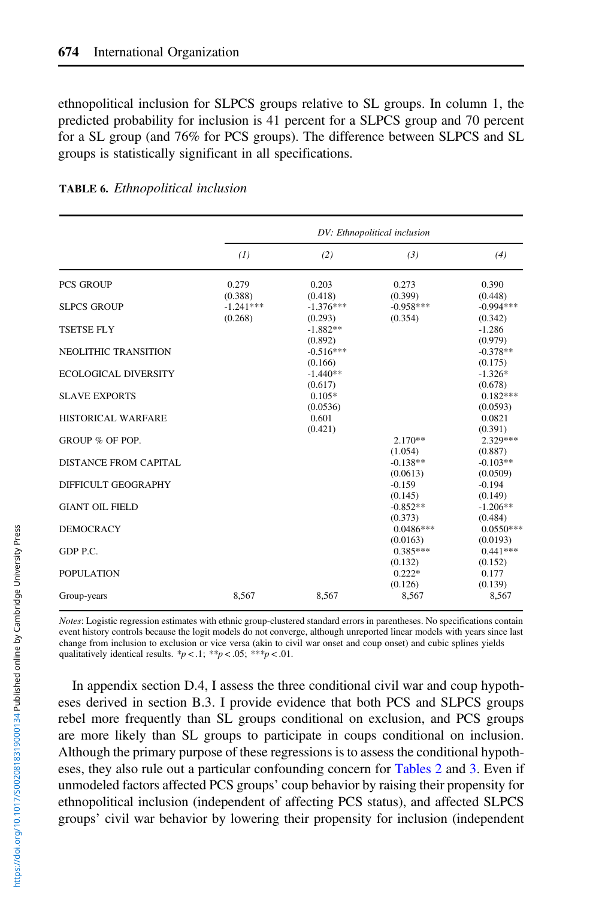<span id="page-29-0"></span>ethnopolitical inclusion for SLPCS groups relative to SL groups. In column 1, the predicted probability for inclusion is 41 percent for a SLPCS group and 70 percent for a SL group (and 76% for PCS groups). The difference between SLPCS and SL groups is statistically significant in all specifications.

|                                       | DV: Ethnopolitical inclusion |                        |                        |                               |  |  |
|---------------------------------------|------------------------------|------------------------|------------------------|-------------------------------|--|--|
|                                       | (1)                          | (2)                    | (3)                    | (4)                           |  |  |
| <b>PCS GROUP</b>                      | 0.279<br>(0.388)             | 0.203<br>(0.418)       | 0.273<br>(0.399)       | 0.390<br>(0.448)              |  |  |
| <b>SLPCS GROUP</b>                    | $-1.241***$<br>(0.268)       | $-1.376***$<br>(0.293) | $-0.958***$<br>(0.354) | $-0.994***$<br>(0.342)        |  |  |
| <b>TSETSE FLY</b>                     |                              | $-1.882**$<br>(0.892)  |                        | $-1.286$<br>(0.979)           |  |  |
| <b>NEOLITHIC TRANSITION</b>           |                              | $-0.516***$<br>(0.166) |                        | $-0.378**$<br>(0.175)         |  |  |
| <b>ECOLOGICAL DIVERSITY</b>           |                              | $-1.440**$<br>(0.617)  |                        | $-1.326*$<br>(0.678)          |  |  |
| <b>SLAVE EXPORTS</b>                  |                              | $0.105*$<br>(0.0536)   |                        | $0.182***$<br>(0.0593)        |  |  |
| HISTORICAL WARFARE<br>GROUP % OF POP. |                              | 0.601<br>(0.421)       | $2.170**$              | 0.0821<br>(0.391)<br>2.329*** |  |  |
| DISTANCE FROM CAPITAL                 |                              |                        | (1.054)<br>$-0.138**$  | (0.887)<br>$-0.103**$         |  |  |
| DIFFICULT GEOGRAPHY                   |                              |                        | (0.0613)<br>$-0.159$   | (0.0509)<br>$-0.194$          |  |  |
| <b>GIANT OIL FIELD</b>                |                              |                        | (0.145)<br>$-0.852**$  | (0.149)<br>$-1.206**$         |  |  |
| <b>DEMOCRACY</b>                      |                              |                        | (0.373)<br>$0.0486***$ | (0.484)<br>$0.0550***$        |  |  |
| GDP P.C.                              |                              |                        | (0.0163)<br>$0.385***$ | (0.0193)<br>$0.441***$        |  |  |
| POPULATION                            |                              |                        | (0.132)<br>$0.222*$    | (0.152)<br>0.177              |  |  |
| Group-years                           | 8.567                        | 8.567                  | (0.126)<br>8,567       | (0.139)<br>8,567              |  |  |

| TABLE 6. Ethnopolitical inclusion |  |  |  |  |
|-----------------------------------|--|--|--|--|
|-----------------------------------|--|--|--|--|

Notes: Logistic regression estimates with ethnic group-clustered standard errors in parentheses. No specifications contain event history controls because the logit models do not converge, although unreported linear models with years since last change from inclusion to exclusion or vice versa (akin to civil war onset and coup onset) and cubic splines yields qualitatively identical results.  $\frac{p}{q} < 0.1$ ;  $\frac{p}{q} < 0.05$ ;  $\frac{p}{q} < 0.01$ .

In appendix section D.4, I assess the three conditional civil war and coup hypotheses derived in section B.3. I provide evidence that both PCS and SLPCS groups rebel more frequently than SL groups conditional on exclusion, and PCS groups are more likely than SL groups to participate in coups conditional on inclusion. Although the primary purpose of these regressions is to assess the conditional hypotheses, they also rule out a particular confounding concern for [Tables 2](#page-23-0) and [3.](#page-24-0) Even if unmodeled factors affected PCS groups' coup behavior by raising their propensity for ethnopolitical inclusion (independent of affecting PCS status), and affected SLPCS groups' civil war behavior by lowering their propensity for inclusion (independent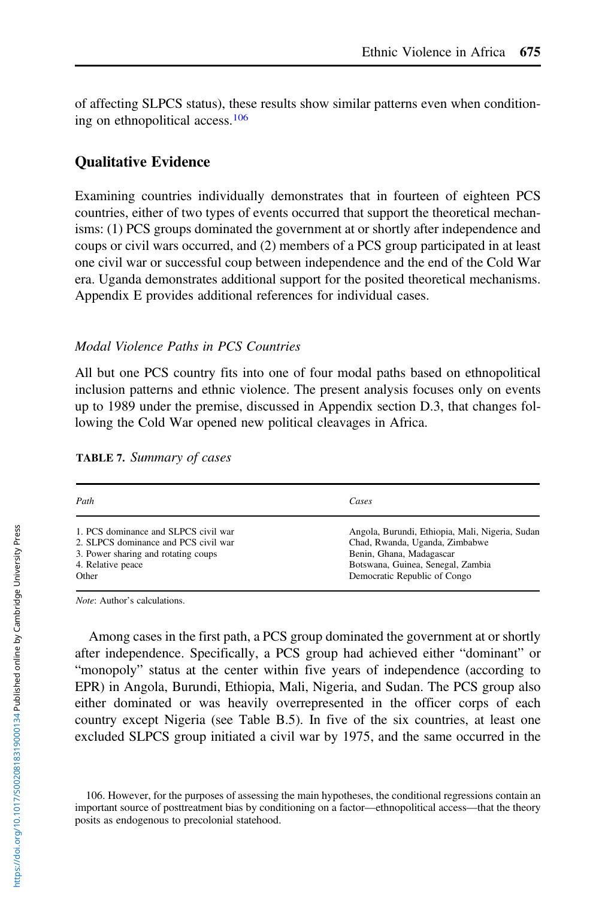of affecting SLPCS status), these results show similar patterns even when conditioning on ethnopolitical access.<sup>106</sup>

# Qualitative Evidence

Examining countries individually demonstrates that in fourteen of eighteen PCS countries, either of two types of events occurred that support the theoretical mechanisms: (1) PCS groups dominated the government at or shortly after independence and coups or civil wars occurred, and (2) members of a PCS group participated in at least one civil war or successful coup between independence and the end of the Cold War era. Uganda demonstrates additional support for the posited theoretical mechanisms. Appendix E provides additional references for individual cases.

## Modal Violence Paths in PCS Countries

All but one PCS country fits into one of four modal paths based on ethnopolitical inclusion patterns and ethnic violence. The present analysis focuses only on events up to 1989 under the premise, discussed in Appendix section D.3, that changes following the Cold War opened new political cleavages in Africa.

| TABLE 7. Summary of cases |  |
|---------------------------|--|
|                           |  |

| Path                                 | Cases                                           |
|--------------------------------------|-------------------------------------------------|
| 1. PCS dominance and SLPCS civil war | Angola, Burundi, Ethiopia, Mali, Nigeria, Sudan |
| 2. SLPCS dominance and PCS civil war | Chad, Rwanda, Uganda, Zimbabwe                  |
| 3. Power sharing and rotating coups  | Benin, Ghana, Madagascar                        |
| 4. Relative peace                    | Botswana, Guinea, Senegal, Zambia               |
| Other                                | Democratic Republic of Congo                    |

Note: Author's calculations.

Among cases in the first path, a PCS group dominated the government at or shortly after independence. Specifically, a PCS group had achieved either "dominant" or "monopoly" status at the center within five years of independence (according to EPR) in Angola, Burundi, Ethiopia, Mali, Nigeria, and Sudan. The PCS group also either dominated or was heavily overrepresented in the officer corps of each country except Nigeria (see Table B.5). In five of the six countries, at least one excluded SLPCS group initiated a civil war by 1975, and the same occurred in the

<sup>106.</sup> However, for the purposes of assessing the main hypotheses, the conditional regressions contain an important source of posttreatment bias by conditioning on a factor—ethnopolitical access—that the theory posits as endogenous to precolonial statehood.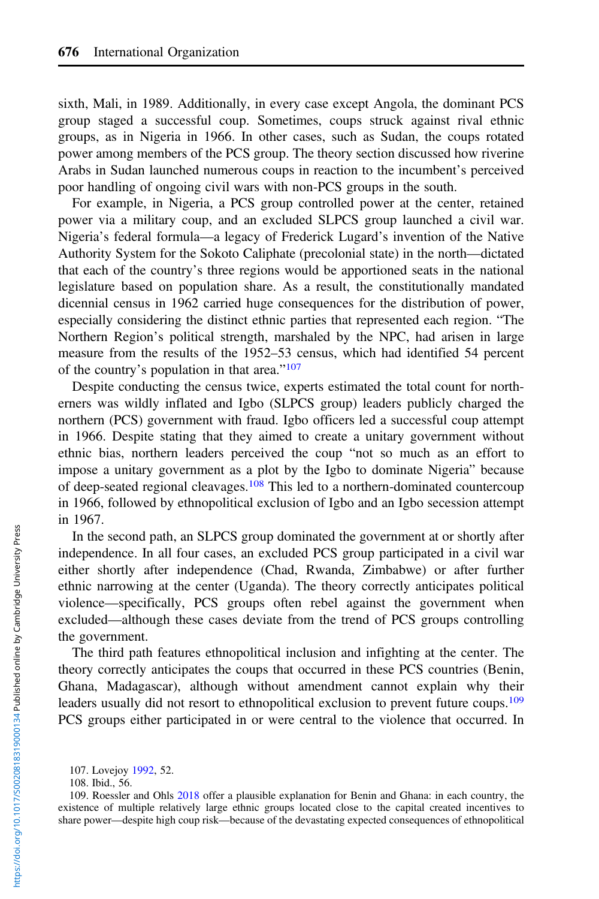sixth, Mali, in 1989. Additionally, in every case except Angola, the dominant PCS group staged a successful coup. Sometimes, coups struck against rival ethnic groups, as in Nigeria in 1966. In other cases, such as Sudan, the coups rotated power among members of the PCS group. The theory section discussed how riverine Arabs in Sudan launched numerous coups in reaction to the incumbent's perceived poor handling of ongoing civil wars with non-PCS groups in the south.

For example, in Nigeria, a PCS group controlled power at the center, retained power via a military coup, and an excluded SLPCS group launched a civil war. Nigeria's federal formula—a legacy of Frederick Lugard's invention of the Native Authority System for the Sokoto Caliphate (precolonial state) in the north—dictated that each of the country's three regions would be apportioned seats in the national legislature based on population share. As a result, the constitutionally mandated dicennial census in 1962 carried huge consequences for the distribution of power, especially considering the distinct ethnic parties that represented each region. "The Northern Region's political strength, marshaled by the NPC, had arisen in large measure from the results of the 1952–53 census, which had identified 54 percent of the country's population in that area."<sup>107</sup>

Despite conducting the census twice, experts estimated the total count for northerners was wildly inflated and Igbo (SLPCS group) leaders publicly charged the northern (PCS) government with fraud. Igbo officers led a successful coup attempt in 1966. Despite stating that they aimed to create a unitary government without ethnic bias, northern leaders perceived the coup "not so much as an effort to impose a unitary government as a plot by the Igbo to dominate Nigeria" because of deep-seated regional cleavages.<sup>108</sup> This led to a northern-dominated countercoup in 1966, followed by ethnopolitical exclusion of Igbo and an Igbo secession attempt in 1967.

In the second path, an SLPCS group dominated the government at or shortly after independence. In all four cases, an excluded PCS group participated in a civil war either shortly after independence (Chad, Rwanda, Zimbabwe) or after further ethnic narrowing at the center (Uganda). The theory correctly anticipates political violence—specifically, PCS groups often rebel against the government when excluded—although these cases deviate from the trend of PCS groups controlling the government.

The third path features ethnopolitical inclusion and infighting at the center. The theory correctly anticipates the coups that occurred in these PCS countries (Benin, Ghana, Madagascar), although without amendment cannot explain why their leaders usually did not resort to ethnopolitical exclusion to prevent future coups.<sup>109</sup> PCS groups either participated in or were central to the violence that occurred. In

<sup>107.</sup> Lovejoy [1992](#page-36-0), 52.

<sup>108.</sup> Ibid., 56.

<sup>109.</sup> Roessler and Ohls [2018](#page-37-0) offer a plausible explanation for Benin and Ghana: in each country, the existence of multiple relatively large ethnic groups located close to the capital created incentives to share power—despite high coup risk—because of the devastating expected consequences of ethnopolitical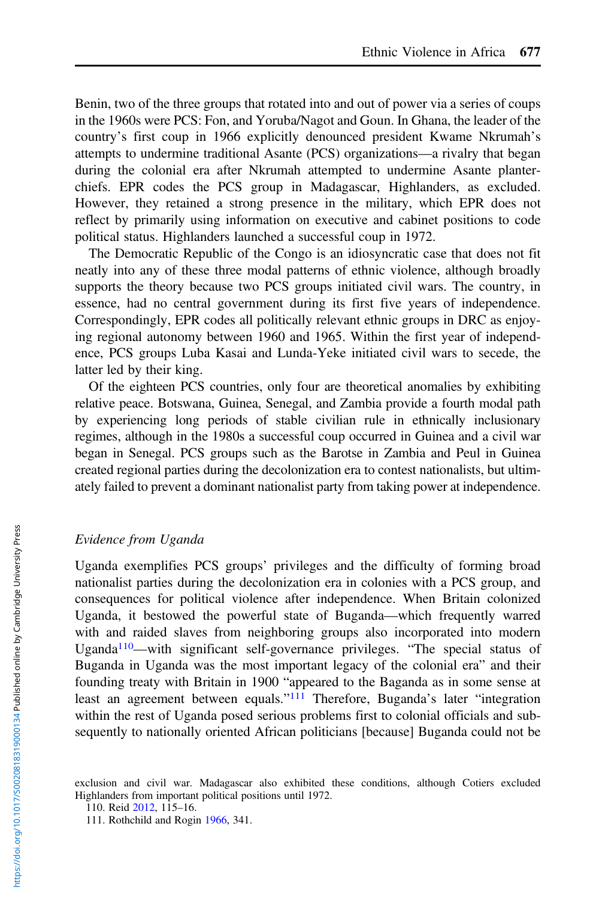Benin, two of the three groups that rotated into and out of power via a series of coups in the 1960s were PCS: Fon, and Yoruba/Nagot and Goun. In Ghana, the leader of the country's first coup in 1966 explicitly denounced president Kwame Nkrumah's attempts to undermine traditional Asante (PCS) organizations—a rivalry that began during the colonial era after Nkrumah attempted to undermine Asante planterchiefs. EPR codes the PCS group in Madagascar, Highlanders, as excluded. However, they retained a strong presence in the military, which EPR does not reflect by primarily using information on executive and cabinet positions to code political status. Highlanders launched a successful coup in 1972.

The Democratic Republic of the Congo is an idiosyncratic case that does not fit neatly into any of these three modal patterns of ethnic violence, although broadly supports the theory because two PCS groups initiated civil wars. The country, in essence, had no central government during its first five years of independence. Correspondingly, EPR codes all politically relevant ethnic groups in DRC as enjoying regional autonomy between 1960 and 1965. Within the first year of independence, PCS groups Luba Kasai and Lunda-Yeke initiated civil wars to secede, the latter led by their king.

Of the eighteen PCS countries, only four are theoretical anomalies by exhibiting relative peace. Botswana, Guinea, Senegal, and Zambia provide a fourth modal path by experiencing long periods of stable civilian rule in ethnically inclusionary regimes, although in the 1980s a successful coup occurred in Guinea and a civil war began in Senegal. PCS groups such as the Barotse in Zambia and Peul in Guinea created regional parties during the decolonization era to contest nationalists, but ultimately failed to prevent a dominant nationalist party from taking power at independence.

#### Evidence from Uganda

Uganda exemplifies PCS groups' privileges and the difficulty of forming broad nationalist parties during the decolonization era in colonies with a PCS group, and consequences for political violence after independence. When Britain colonized Uganda, it bestowed the powerful state of Buganda—which frequently warred with and raided slaves from neighboring groups also incorporated into modern Uganda<sup>110</sup>—with significant self-governance privileges. "The special status of Buganda in Uganda was the most important legacy of the colonial era" and their founding treaty with Britain in 1900 "appeared to the Baganda as in some sense at least an agreement between equals."<sup>111</sup> Therefore, Buganda's later "integration" within the rest of Uganda posed serious problems first to colonial officials and subsequently to nationally oriented African politicians [because] Buganda could not be

exclusion and civil war. Madagascar also exhibited these conditions, although Cotiers excluded Highlanders from important political positions until 1972.

<sup>110.</sup> Reid [2012,](#page-37-0) 115–16.

<sup>111.</sup> Rothchild and Rogin [1966,](#page-37-0) 341.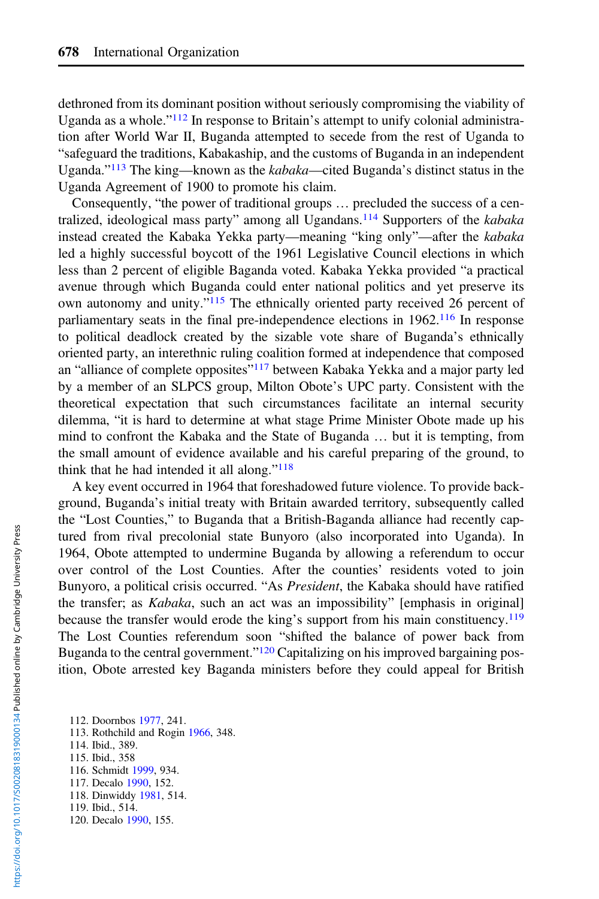dethroned from its dominant position without seriously compromising the viability of Uganda as a whole."<sup>112</sup> In response to Britain's attempt to unify colonial administration after World War II, Buganda attempted to secede from the rest of Uganda to "safeguard the traditions, Kabakaship, and the customs of Buganda in an independent Uganda."<sup>113</sup> The king—known as the kabaka—cited Buganda's distinct status in the Uganda Agreement of 1900 to promote his claim.

Consequently, "the power of traditional groups … precluded the success of a centralized, ideological mass party" among all Ugandans.<sup>114</sup> Supporters of the kabaka instead created the Kabaka Yekka party—meaning "king only"—after the kabaka led a highly successful boycott of the 1961 Legislative Council elections in which less than 2 percent of eligible Baganda voted. Kabaka Yekka provided "a practical avenue through which Buganda could enter national politics and yet preserve its own autonomy and unity."<sup>115</sup> The ethnically oriented party received 26 percent of parliamentary seats in the final pre-independence elections in 1962.<sup>116</sup> In response to political deadlock created by the sizable vote share of Buganda's ethnically oriented party, an interethnic ruling coalition formed at independence that composed an "alliance of complete opposites"<sup>117</sup> between Kabaka Yekka and a major party led by a member of an SLPCS group, Milton Obote's UPC party. Consistent with the theoretical expectation that such circumstances facilitate an internal security dilemma, "it is hard to determine at what stage Prime Minister Obote made up his mind to confront the Kabaka and the State of Buganda … but it is tempting, from the small amount of evidence available and his careful preparing of the ground, to think that he had intended it all along."<sup>118</sup>

A key event occurred in 1964 that foreshadowed future violence. To provide background, Buganda's initial treaty with Britain awarded territory, subsequently called the "Lost Counties," to Buganda that a British-Baganda alliance had recently captured from rival precolonial state Bunyoro (also incorporated into Uganda). In 1964, Obote attempted to undermine Buganda by allowing a referendum to occur over control of the Lost Counties. After the counties' residents voted to join Bunyoro, a political crisis occurred. "As President, the Kabaka should have ratified the transfer; as Kabaka, such an act was an impossibility" [emphasis in original] because the transfer would erode the king's support from his main constituency.<sup>119</sup> The Lost Counties referendum soon "shifted the balance of power back from Buganda to the central government."<sup>120</sup> Capitalizing on his improved bargaining position, Obote arrested key Baganda ministers before they could appeal for British

- 112. Doornbos [1977,](#page-35-0) 241. 113. Rothchild and Rogin [1966,](#page-37-0) 348. 114. Ibid., 389. 115. Ibid., 358 116. Schmidt [1999](#page-37-0), 934. 117. Decalo [1990](#page-35-0), 152. 118. Dinwiddy [1981](#page-35-0), 514.
- 119. Ibid., 514.
- 120. Decalo [1990](#page-35-0), 155.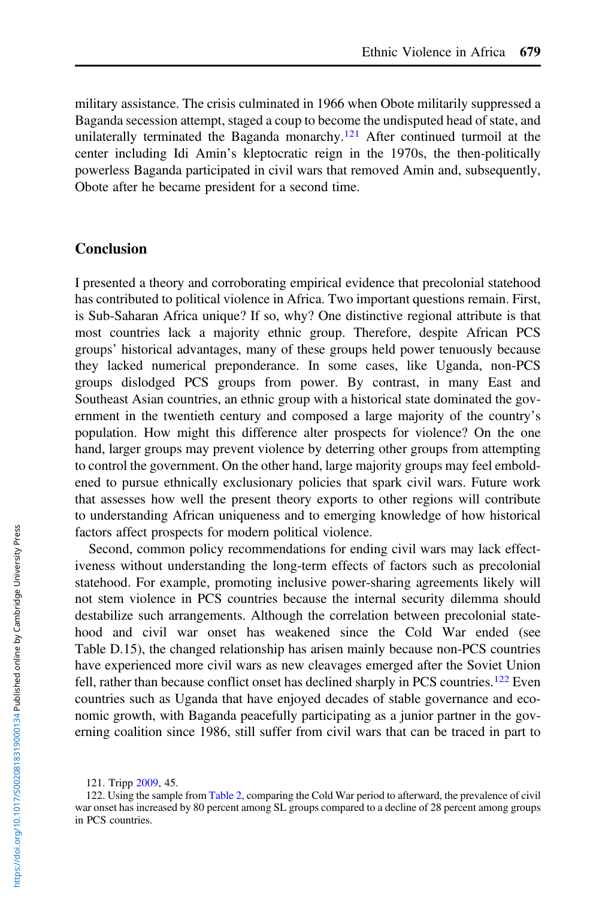military assistance. The crisis culminated in 1966 when Obote militarily suppressed a Baganda secession attempt, staged a coup to become the undisputed head of state, and unilaterally terminated the Baganda monarchy.<sup>121</sup> After continued turmoil at the center including Idi Amin's kleptocratic reign in the 1970s, the then-politically powerless Baganda participated in civil wars that removed Amin and, subsequently, Obote after he became president for a second time.

## **Conclusion**

I presented a theory and corroborating empirical evidence that precolonial statehood has contributed to political violence in Africa. Two important questions remain. First, is Sub-Saharan Africa unique? If so, why? One distinctive regional attribute is that most countries lack a majority ethnic group. Therefore, despite African PCS groups' historical advantages, many of these groups held power tenuously because they lacked numerical preponderance. In some cases, like Uganda, non-PCS groups dislodged PCS groups from power. By contrast, in many East and Southeast Asian countries, an ethnic group with a historical state dominated the government in the twentieth century and composed a large majority of the country's population. How might this difference alter prospects for violence? On the one hand, larger groups may prevent violence by deterring other groups from attempting to control the government. On the other hand, large majority groups may feel emboldened to pursue ethnically exclusionary policies that spark civil wars. Future work that assesses how well the present theory exports to other regions will contribute to understanding African uniqueness and to emerging knowledge of how historical factors affect prospects for modern political violence.

Second, common policy recommendations for ending civil wars may lack effectiveness without understanding the long-term effects of factors such as precolonial statehood. For example, promoting inclusive power-sharing agreements likely will not stem violence in PCS countries because the internal security dilemma should destabilize such arrangements. Although the correlation between precolonial statehood and civil war onset has weakened since the Cold War ended (see Table D.15), the changed relationship has arisen mainly because non-PCS countries have experienced more civil wars as new cleavages emerged after the Soviet Union fell, rather than because conflict onset has declined sharply in PCS countries.<sup>122</sup> Even countries such as Uganda that have enjoyed decades of stable governance and economic growth, with Baganda peacefully participating as a junior partner in the governing coalition since 1986, still suffer from civil wars that can be traced in part to

121. Tripp [2009](#page-37-0), 45.

<sup>122.</sup> Using the sample from [Table 2](#page-23-0), comparing the Cold War period to afterward, the prevalence of civil war onset has increased by 80 percent among SL groups compared to a decline of 28 percent among groups in PCS countries.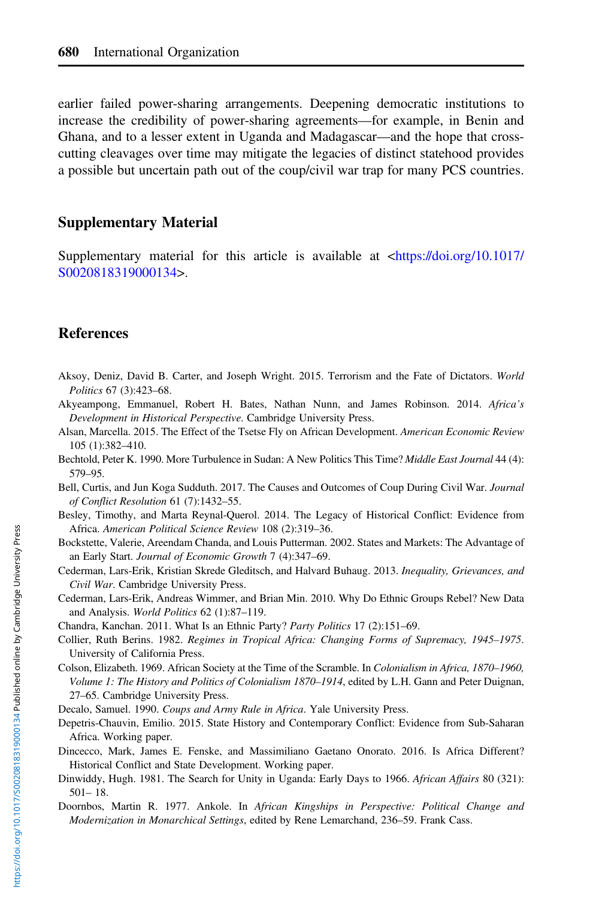<span id="page-35-0"></span>earlier failed power-sharing arrangements. Deepening democratic institutions to increase the credibility of power-sharing agreements—for example, in Benin and Ghana, and to a lesser extent in Uganda and Madagascar—and the hope that crosscutting cleavages over time may mitigate the legacies of distinct statehood provides a possible but uncertain path out of the coup/civil war trap for many PCS countries.

# Supplementary Material

Supplementary material for this article is available at [<https://doi.org/10.1017/](https://doi.org/10.1017/S0020818319000134) [S0020818319000134>](https://doi.org/10.1017/S0020818319000134).

## References

- Aksoy, Deniz, David B. Carter, and Joseph Wright. 2015. Terrorism and the Fate of Dictators. World Politics 67 (3):423–68.
- Akyeampong, Emmanuel, Robert H. Bates, Nathan Nunn, and James Robinson. 2014. Africa's Development in Historical Perspective. Cambridge University Press.
- Alsan, Marcella. 2015. The Effect of the Tsetse Fly on African Development. American Economic Review 105 (1):382–410.
- Bechtold, Peter K. 1990. More Turbulence in Sudan: A New Politics This Time? Middle East Journal 44 (4): 579–95.
- Bell, Curtis, and Jun Koga Sudduth. 2017. The Causes and Outcomes of Coup During Civil War. Journal of Conflict Resolution 61 (7):1432–55.
- Besley, Timothy, and Marta Reynal-Querol. 2014. The Legacy of Historical Conflict: Evidence from Africa. American Political Science Review 108 (2):319–36.
- Bockstette, Valerie, Areendam Chanda, and Louis Putterman. 2002. States and Markets: The Advantage of an Early Start. Journal of Economic Growth 7 (4):347–69.
- Cederman, Lars-Erik, Kristian Skrede Gleditsch, and Halvard Buhaug. 2013. Inequality, Grievances, and Civil War. Cambridge University Press.
- Cederman, Lars-Erik, Andreas Wimmer, and Brian Min. 2010. Why Do Ethnic Groups Rebel? New Data and Analysis. World Politics 62 (1):87-119.
- Chandra, Kanchan. 2011. What Is an Ethnic Party? Party Politics 17 (2):151–69.
- Collier, Ruth Berins. 1982. Regimes in Tropical Africa: Changing Forms of Supremacy, 1945–1975. University of California Press.
- Colson, Elizabeth. 1969. African Society at the Time of the Scramble. In Colonialism in Africa, 1870–1960, Volume 1: The History and Politics of Colonialism 1870–1914, edited by L.H. Gann and Peter Duignan, 27–65. Cambridge University Press.
- Decalo, Samuel. 1990. Coups and Army Rule in Africa. Yale University Press.
- Depetris-Chauvin, Emilio. 2015. State History and Contemporary Conflict: Evidence from Sub-Saharan Africa. Working paper.
- Dincecco, Mark, James E. Fenske, and Massimiliano Gaetano Onorato. 2016. Is Africa Different? Historical Conflict and State Development. Working paper.
- Dinwiddy, Hugh. 1981. The Search for Unity in Uganda: Early Days to 1966. African Affairs 80 (321): 501– 18.
- Doornbos, Martin R. 1977. Ankole. In African Kingships in Perspective: Political Change and Modernization in Monarchical Settings, edited by Rene Lemarchand, 236–59. Frank Cass.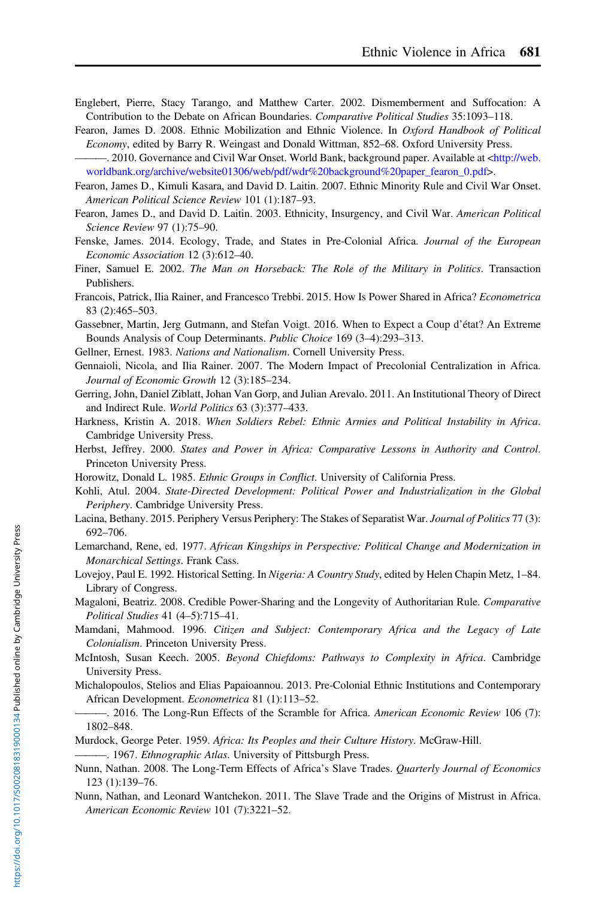- <span id="page-36-0"></span>Englebert, Pierre, Stacy Tarango, and Matthew Carter. 2002. Dismemberment and Suffocation: A Contribution to the Debate on African Boundaries. Comparative Political Studies 35:1093–118.
- Fearon, James D. 2008. Ethnic Mobilization and Ethnic Violence. In Oxford Handbook of Political Economy, edited by Barry R. Weingast and Donald Wittman, 852–68. Oxford University Press.
- -. 2010. Governance and Civil War Onset. World Bank, background paper. Available at [<http://web.](http://web.worldbank.org/archive/website01306/web/pdf/wdr%20background%20paper_fearon_0.pdf) [worldbank.org/archive/website01306/web/pdf/wdr%20background%20paper\\_fearon\\_0.pdf](http://web.worldbank.org/archive/website01306/web/pdf/wdr%20background%20paper_fearon_0.pdf)>.
- Fearon, James D., Kimuli Kasara, and David D. Laitin. 2007. Ethnic Minority Rule and Civil War Onset. American Political Science Review 101 (1):187–93.
- Fearon, James D., and David D. Laitin. 2003. Ethnicity, Insurgency, and Civil War. American Political Science Review 97 (1):75–90.
- Fenske, James. 2014. Ecology, Trade, and States in Pre-Colonial Africa. Journal of the European Economic Association 12 (3):612–40.
- Finer, Samuel E. 2002. The Man on Horseback: The Role of the Military in Politics. Transaction Publishers.
- Francois, Patrick, Ilia Rainer, and Francesco Trebbi. 2015. How Is Power Shared in Africa? Econometrica 83 (2):465–503.
- Gassebner, Martin, Jerg Gutmann, and Stefan Voigt. 2016. When to Expect a Coup d'état? An Extreme Bounds Analysis of Coup Determinants. Public Choice 169 (3–4):293–313.
- Gellner, Ernest. 1983. Nations and Nationalism. Cornell University Press.
- Gennaioli, Nicola, and Ilia Rainer. 2007. The Modern Impact of Precolonial Centralization in Africa. Journal of Economic Growth 12 (3):185–234.
- Gerring, John, Daniel Ziblatt, Johan Van Gorp, and Julian Arevalo. 2011. An Institutional Theory of Direct and Indirect Rule. World Politics 63 (3):377–433.
- Harkness, Kristin A. 2018. When Soldiers Rebel: Ethnic Armies and Political Instability in Africa. Cambridge University Press.
- Herbst, Jeffrey. 2000. States and Power in Africa: Comparative Lessons in Authority and Control. Princeton University Press.
- Horowitz, Donald L. 1985. Ethnic Groups in Conflict. University of California Press.
- Kohli, Atul. 2004. State-Directed Development: Political Power and Industrialization in the Global Periphery. Cambridge University Press.
- Lacina, Bethany. 2015. Periphery Versus Periphery: The Stakes of Separatist War. Journal of Politics 77 (3): 692–706.
- Lemarchand, Rene, ed. 1977. African Kingships in Perspective: Political Change and Modernization in Monarchical Settings. Frank Cass.
- Lovejoy, Paul E. 1992. Historical Setting. In Nigeria: A Country Study, edited by Helen Chapin Metz, 1–84. Library of Congress.
- Magaloni, Beatriz. 2008. Credible Power-Sharing and the Longevity of Authoritarian Rule. Comparative Political Studies 41 (4–5):715–41.
- Mamdani, Mahmood. 1996. Citizen and Subject: Contemporary Africa and the Legacy of Late Colonialism. Princeton University Press.
- McIntosh, Susan Keech. 2005. Beyond Chiefdoms: Pathways to Complexity in Africa. Cambridge University Press.
- Michalopoulos, Stelios and Elias Papaioannou. 2013. Pre-Colonial Ethnic Institutions and Contemporary African Development. Econometrica 81 (1):113–52.
- -. 2016. The Long-Run Effects of the Scramble for Africa. American Economic Review 106 (7): 1802–848.
- Murdock, George Peter. 1959. Africa: Its Peoples and their Culture History. McGraw-Hill.
- -. 1967. Ethnographic Atlas. University of Pittsburgh Press.
- Nunn, Nathan. 2008. The Long-Term Effects of Africa's Slave Trades. Quarterly Journal of Economics 123 (1):139–76.
- Nunn, Nathan, and Leonard Wantchekon. 2011. The Slave Trade and the Origins of Mistrust in Africa. American Economic Review 101 (7):3221–52.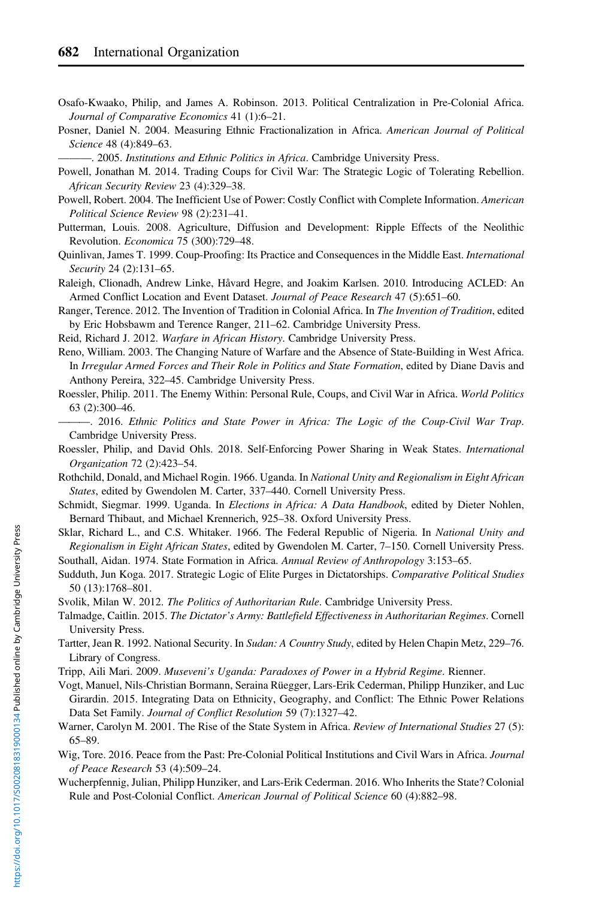<span id="page-37-0"></span>Osafo-Kwaako, Philip, and James A. Robinson. 2013. Political Centralization in Pre-Colonial Africa. Journal of Comparative Economics 41 (1):6–21.

Posner, Daniel N. 2004. Measuring Ethnic Fractionalization in Africa. American Journal of Political Science 48 (4):849–63.

 $-$ . 2005. Institutions and Ethnic Politics in Africa. Cambridge University Press.

- Powell, Jonathan M. 2014. Trading Coups for Civil War: The Strategic Logic of Tolerating Rebellion. African Security Review 23 (4):329–38.
- Powell, Robert. 2004. The Inefficient Use of Power: Costly Conflict with Complete Information. American Political Science Review 98 (2):231–41.
- Putterman, Louis. 2008. Agriculture, Diffusion and Development: Ripple Effects of the Neolithic Revolution. Economica 75 (300):729–48.
- Quinlivan, James T. 1999. Coup-Proofing: Its Practice and Consequences in the Middle East. International Security 24 (2):131–65.

Raleigh, Clionadh, Andrew Linke, Håvard Hegre, and Joakim Karlsen. 2010. Introducing ACLED: An Armed Conflict Location and Event Dataset. Journal of Peace Research 47 (5):651-60.

Ranger, Terence. 2012. The Invention of Tradition in Colonial Africa. In The Invention of Tradition, edited by Eric Hobsbawm and Terence Ranger, 211–62. Cambridge University Press.

Reid, Richard J. 2012. Warfare in African History. Cambridge University Press.

Reno, William. 2003. The Changing Nature of Warfare and the Absence of State-Building in West Africa. In Irregular Armed Forces and Their Role in Politics and State Formation, edited by Diane Davis and Anthony Pereira, 322–45. Cambridge University Press.

- Roessler, Philip. 2011. The Enemy Within: Personal Rule, Coups, and Civil War in Africa. World Politics 63 (2):300–46.
- ———. 2016. Ethnic Politics and State Power in Africa: The Logic of the Coup-Civil War Trap. Cambridge University Press.
- Roessler, Philip, and David Ohls. 2018. Self-Enforcing Power Sharing in Weak States. International Organization 72 (2):423–54.
- Rothchild, Donald, and Michael Rogin. 1966. Uganda. In National Unity and Regionalism in Eight African States, edited by Gwendolen M. Carter, 337–440. Cornell University Press.
- Schmidt, Siegmar. 1999. Uganda. In Elections in Africa: A Data Handbook, edited by Dieter Nohlen, Bernard Thibaut, and Michael Krennerich, 925–38. Oxford University Press.
- Sklar, Richard L., and C.S. Whitaker. 1966. The Federal Republic of Nigeria. In National Unity and Regionalism in Eight African States, edited by Gwendolen M. Carter, 7–150. Cornell University Press. Southall, Aidan. 1974. State Formation in Africa. Annual Review of Anthropology 3:153–65.
- 
- Sudduth, Jun Koga. 2017. Strategic Logic of Elite Purges in Dictatorships. Comparative Political Studies 50 (13):1768–801.
- Svolik, Milan W. 2012. The Politics of Authoritarian Rule. Cambridge University Press.
- Talmadge, Caitlin. 2015. The Dictator's Army: Battlefield Effectiveness in Authoritarian Regimes. Cornell University Press.
- Tartter, Jean R. 1992. National Security. In Sudan: A Country Study, edited by Helen Chapin Metz, 229–76. Library of Congress.
- Tripp, Aili Mari. 2009. Museveni's Uganda: Paradoxes of Power in a Hybrid Regime. Rienner.
- Vogt, Manuel, Nils-Christian Bormann, Seraina Rüegger, Lars-Erik Cederman, Philipp Hunziker, and Luc Girardin. 2015. Integrating Data on Ethnicity, Geography, and Conflict: The Ethnic Power Relations Data Set Family. Journal of Conflict Resolution 59 (7):1327–42.
- Warner, Carolyn M. 2001. The Rise of the State System in Africa. Review of International Studies 27 (5): 65–89.
- Wig, Tore. 2016. Peace from the Past: Pre-Colonial Political Institutions and Civil Wars in Africa. Journal of Peace Research 53 (4):509–24.
- Wucherpfennig, Julian, Philipp Hunziker, and Lars-Erik Cederman. 2016. Who Inherits the State? Colonial Rule and Post-Colonial Conflict. American Journal of Political Science 60 (4):882–98.